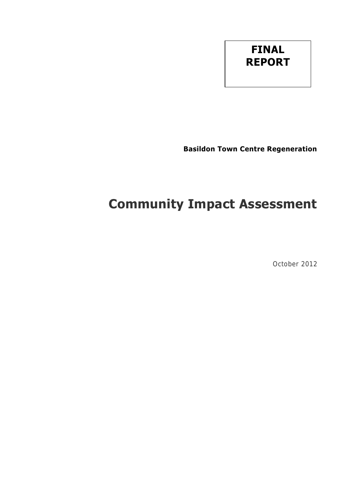# **FINAL REPORT**

**Basildon Town Centre Regeneration** 

# **Community Impact Assessment**

October 2012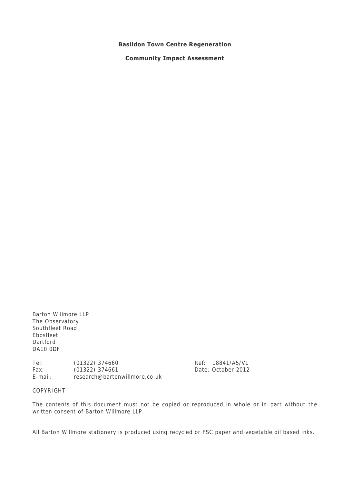#### **Basildon Town Centre Regeneration**

**Community Impact Assessment** 

Barton Willmore LLP The Observatory Southfleet Road Ebbsfleet Dartford DA10 0DF

Tel: (01322) 374660 Ref: 18841/A5/VL Fax: (01322) 374661 Date: October 2012 E-mail: research@bartonwillmore.co.uk

COPYRIGHT

The contents of this document must not be copied or reproduced in whole or in part without the written consent of Barton Willmore LLP.

All Barton Willmore stationery is produced using recycled or FSC paper and vegetable oil based inks.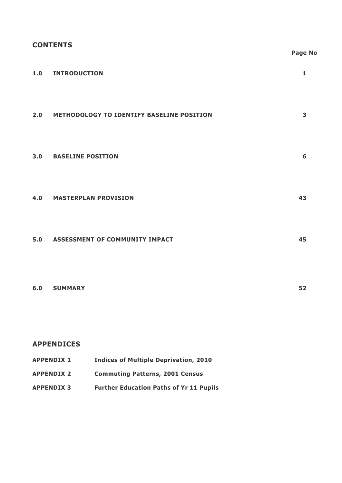# **CONTENTS**

|     |                                               | <b>Page No</b> |  |
|-----|-----------------------------------------------|----------------|--|
|     | 1.0 INTRODUCTION                              | $\mathbf{1}$   |  |
|     | 2.0 METHODOLOGY TO IDENTIFY BASELINE POSITION | $\mathbf{3}$   |  |
| 3.0 | <b>BASELINE POSITION</b>                      | 6              |  |
|     | <b>4.0 MASTERPLAN PROVISION</b>               | 43             |  |
|     | 5.0 ASSESSMENT OF COMMUNITY IMPACT            | 45             |  |
|     | 6.0 SUMMARY                                   | 52             |  |
|     | <b>APPENDICES</b>                             |                |  |

| <b>APPENDIX 1</b> | <b>Indices of Multiple Deprivation, 2010</b>   |
|-------------------|------------------------------------------------|
| <b>APPENDIX 2</b> | <b>Commuting Patterns, 2001 Census</b>         |
| <b>APPENDIX 3</b> | <b>Further Education Paths of Yr 11 Pupils</b> |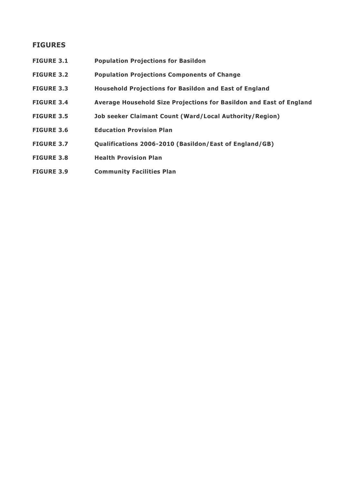### **FIGURES**

- **FIGURE 3.1 Population Projections for Basildon**
- **FIGURE 3.2 Population Projections Components of Change**
- **FIGURE 3.3 Household Projections for Basildon and East of England**
- **FIGURE 3.4 Average Household Size Projections for Basildon and East of England**
- **FIGURE 3.5 Job seeker Claimant Count (Ward/Local Authority/Region)**
- **FIGURE 3.6 Education Provision Plan**
- **FIGURE 3.7 Qualifications 2006-2010 (Basildon/East of England/GB)**
- **FIGURE 3.8 Health Provision Plan**
- **FIGURE 3.9 Community Facilities Plan**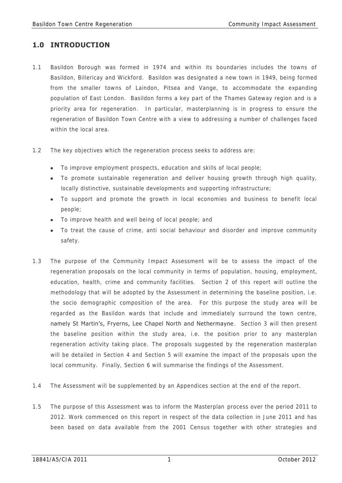# **1.0 INTRODUCTION**

- 1.1 Basildon Borough was formed in 1974 and within its boundaries includes the towns of Basildon, Billericay and Wickford. Basildon was designated a new town in 1949, being formed from the smaller towns of Laindon, Pitsea and Vange, to accommodate the expanding population of East London. Basildon forms a key part of the Thames Gateway region and is a priority area for regeneration. In particular, masterplanning is in progress to ensure the regeneration of Basildon Town Centre with a view to addressing a number of challenges faced within the local area.
- 1.2 The key objectives which the regeneration process seeks to address are:
	- To improve employment prospects, education and skills of local people;
	- To promote sustainable regeneration and deliver housing growth through high quality, locally distinctive, sustainable developments and supporting infrastructure;
	- To support and promote the growth in local economies and business to benefit local people;
	- To improve health and well being of local people; and
	- To treat the cause of crime, anti social behaviour and disorder and improve community safety.
- 1.3 The purpose of the Community Impact Assessment will be to assess the impact of the regeneration proposals on the local community in terms of population, housing, employment, education, health, crime and community facilities. Section 2 of this report will outline the methodology that will be adopted by the Assessment in determining the baseline position, i.e. the socio demographic composition of the area. For this purpose the study area will be regarded as the Basildon wards that include and immediately surround the town centre, namely St Martin's, Fryerns, Lee Chapel North and Nethermayne. Section 3 will then present the baseline position within the study area, i.e. the position prior to any masterplan regeneration activity taking place. The proposals suggested by the regeneration masterplan will be detailed in Section 4 and Section 5 will examine the impact of the proposals upon the local community. Finally, Section 6 will summarise the findings of the Assessment.
- 1.4 The Assessment will be supplemented by an Appendices section at the end of the report.
- 1.5 The purpose of this Assessment was to inform the Masterplan process over the period 2011 to 2012. Work commenced on this report in respect of the data collection in June 2011 and has been based on data available from the 2001 Census together with other strategies and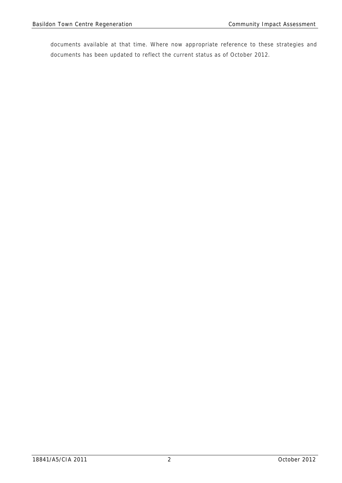documents available at that time. Where now appropriate reference to these strategies and documents has been updated to reflect the current status as of October 2012.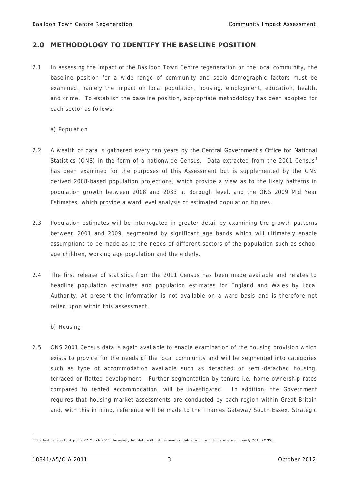# **2.0 METHODOLOGY TO IDENTIFY THE BASELINE POSITION**

- 2.1 In assessing the impact of the Basildon Town Centre regeneration on the local community, the baseline position for a wide range of community and socio demographic factors must be examined, namely the impact on local population, housing, employment, education, health, and crime. To establish the baseline position, appropriate methodology has been adopted for each sector as follows:
	- a) Population
- 2.2 A wealth of data is gathered every ten years by the Central Government's Office for National Statistics (ONS) in the form of a nationwide Census. Data extracted from the 2001 Census<sup>1</sup> has been examined for the purposes of this Assessment but is supplemented by the ONS derived 2008-based population projections, which provide a view as to the likely patterns in population growth between 2008 and 2033 at Borough level, and the ONS 2009 Mid Year Estimates, which provide a ward level analysis of estimated population figures .
- 2.3 Population estimates will be interrogated in greater detail by examining the growth patterns between 2001 and 2009, segmented by significant age bands which will ultimately enable assumptions to be made as to the needs of different sectors of the population such as school age children, working age population and the elderly.
- 2.4 The first release of statistics from the 2011 Census has been made available and relates to headline population estimates and population estimates for England and Wales by Local Authority. At present the information is not available on a ward basis and is therefore not relied upon within this assessment.
	- b) Housing
- 2.5 ONS 2001 Census data is again available to enable examination of the housing provision which exists to provide for the needs of the local community and will be segmented into categories such as type of accommodation available such as detached or semi-detached housing, terraced or flatted development. Further segmentation by tenure i.e. home ownership rates compared to rented accommodation, will be investigated. In addition, the Government requires that housing market assessments are conducted by each region within Great Britain and, with this in mind, reference will be made to the Thames Gateway South Essex, Strategic

 1 The last census took place 27 March 2011, however, full data will not become available prior to initial statistics in early 2013 (ONS).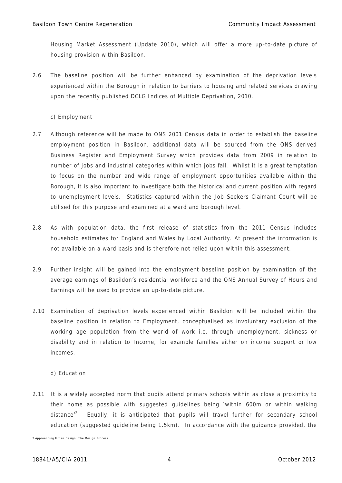Housing Market Assessment (Update 2010), which will offer a more up-to-date picture of housing provision within Basildon.

- 2.6 The baseline position will be further enhanced by examination of the deprivation levels experienced within the Borough in relation to barriers to housing and related services drawing upon the recently published DCLG Indices of Multiple Deprivation, 2010.
	- c) Employment
- 2.7 Although reference will be made to ONS 2001 Census data in order to establish the baseline employment position in Basildon, additional data will be sourced from the ONS derived Business Register and Employment Survey which provides data from 2009 in relation to number of jobs and industrial categories within which jobs fall. Whilst it is a great temptation to focus on the number and wide range of employment opportunities available within the Borough, it is also important to investigate both the historical and current position with regard to unemployment levels. Statistics captured within the Job Seekers Claimant Count will be utilised for this purpose and examined at a ward and borough level.
- 2.8 As with population data, the first release of statistics from the 2011 Census includes household estimates for England and Wales by Local Authority. At present the information is not available on a ward basis and is therefore not relied upon within this assessment.
- 2.9 Further insight will be gained into the employment baseline position by examination of the average earnings of Basildon's residential workforce and the ONS Annual Survey of Hours and Earnings will be used to provide an up-to-date picture.
- 2.10 Examination of deprivation levels experienced within Basildon will be included within the baseline position in relation to Employment, conceptualised as involuntary exclusion of the working age population from the world of work i.e. through unemployment, sickness or disability and in relation to Income, for example families either on income support or low incomes.

### d) Education

2.11 It is a widely accepted norm that pupils attend primary schools within as close a proximity to their home as possible with suggested guidelines being 'within 600m or within walking distance<sup>r2</sup>. Equally, it is anticipated that pupils will travel further for secondary school education (suggested guideline being 1.5km). In accordance with the guidance provided, the

 2 Approaching Urban Design: The Design Process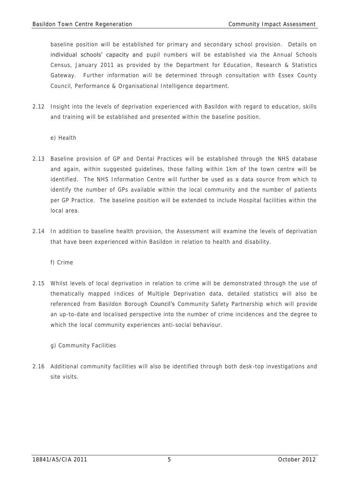baseline position will be established for primary and secondary school provision. Details on individual schools' capacity and pupil numbers will be established via the Annual Schools Census, January 2011 as provided by the Department for Education, Research & Statistics Gateway. Further information will be determined through consultation with Essex County Council, Performance & Organisational Intelligence department.

- 2.12 Insight into the levels of deprivation experienced with Basildon with regard to education, skills and training will be established and presented within the baseline position.
	- e) Health
- 2.13 Baseline provision of GP and Dental Practices will be established through the NHS database and again, within suggested guidelines, those falling within 1km of the town centre will be identified. The NHS Information Centre will further be used as a data source from which to identify the number of GPs available within the local community and the number of patients per GP Practice. The baseline position will be extended to include Hospital facilities within the local area.
- 2.14 In addition to baseline health provision, the Assessment will examine the levels of deprivation that have been experienced within Basildon in relation to health and disability.

f) Crime

- 2.15 Whilst levels of local deprivation in relation to crime will be demonstrated through the use of thematically mapped Indices of Multiple Deprivation data, detailed statistics will also be referenced from Basildon Borough Council's Community Safety Partnership which will provide an up-to-date and localised perspective into the number of crime incidences and the degree to which the local community experiences anti-social behaviour.
	- g) Community Facilities
- 2.16 Additional community facilities will also be identified through both desk-top investigations and site visits.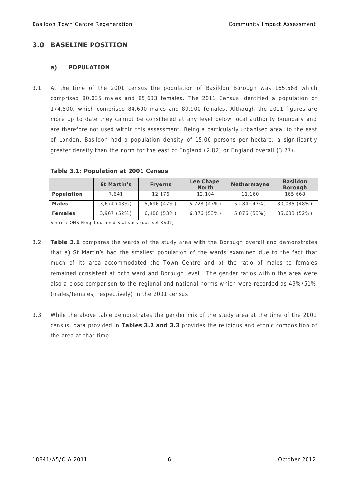# **3.0 BASELINE POSITION**

# **a) POPULATION**

3.1 At the time of the 2001 census the population of Basildon Borough was 165,668 which comprised 80,035 males and 85,633 females. The 2011 Census identified a population of 174,500, which comprised 84,600 males and 89,900 females. Although the 2011 figures are more up to date they cannot be considered at any level below local authority boundary and are therefore not used within this assessment. Being a particularly urbanised area, to the east of London, Basildon had a population density of 15.06 persons per hectare; a significantly greater density than the norm for the east of England (2.82) or England overall (3.77).

|                | <b>St Martin's</b> | <b>Fryerns</b> | <b>Lee Chapel</b><br><b>North</b> | Nethermayne | <b>Basildon</b><br><b>Borough</b> |
|----------------|--------------------|----------------|-----------------------------------|-------------|-----------------------------------|
| Population     | 7.641              | 12.176         | 12,104                            | 11.160      | 165,668                           |
| <b>Males</b>   | 3,674(48%)         | 5,696 (47%)    | 5,728 (47%)                       | 5,284 (47%) | 80,035 (48%)                      |
| <b>Females</b> | 3,967(52%)         | 6,480(53%)     | 6,376(53%)                        | 5,876 (53%) | 85,633 (52%)                      |

| Table 3.1: Population at 2001 Census |  |
|--------------------------------------|--|
|--------------------------------------|--|

Source: ONS Neighbourhood Statistics (dataset KS01)

- 3.2 **Table 3.1** compares the wards of the study area with the Borough overall and demonstrates that a) St Martin's had the smallest population of the wards examined due to the fact that much of its area accommodated the Town Centre and b) the ratio of males to females remained consistent at both ward and Borough level. The gender ratios within the area were also a close comparison to the regional and national norms which were recorded as 49%/51% (males/females, respectively) in the 2001 census.
- 3.3 While the above table demonstrates the gender mix of the study area at the time of the 2001 census, data provided in **Tables 3.2 and 3.3** provides the religious and ethnic composition of the area at that time.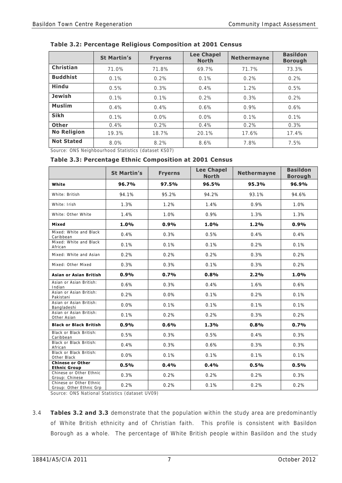|  | Table 3.2: Percentage Religious Composition at 2001 Census |
|--|------------------------------------------------------------|
|--|------------------------------------------------------------|

|                    | <b>St Martin's</b> | <b>Fryerns</b> | <b>Lee Chapel</b><br><b>North</b> | <b>Nethermayne</b> | <b>Basildon</b><br><b>Borough</b> |
|--------------------|--------------------|----------------|-----------------------------------|--------------------|-----------------------------------|
| Christian          | 71.0%              | 71.8%          | 69.7%                             | 71.7%              | 73.3%                             |
| <b>Buddhist</b>    | 0.1%               | 0.2%           | 0.1%                              | 0.2%               | 0.2%                              |
| <b>Hindu</b>       | 0.5%               | 0.3%           | $0.4\%$                           | 1.2%               | 0.5%                              |
| <b>Jewish</b>      | 0.1%               | 0.1%           | 0.2%                              | 0.3%               | 0.2%                              |
| <b>Muslim</b>      | $0.4\%$            | $0.4\%$        | 0.6%                              | 0.9%               | 0.6%                              |
| <b>Sikh</b>        | 0.1%               | $0.0\%$        | $0.0\%$                           | 0.1%               | $0.1\%$                           |
| <b>Other</b>       | $0.4\%$            | 0.2%           | 0.4%                              | 0.2%               | $0.3\%$                           |
| <b>No Religion</b> | 19.3%              | 18.7%          | 20.1%                             | 17.6%              | 17.4%                             |
| <b>Not Stated</b>  | 8.0%               | 8.2%           | 8.6%                              | 7.8%               | 7.5%                              |

Source: ONS Neighbourhood Statistics (dataset KS07)

#### **Table 3.3: Percentage Ethnic Composition at 2001 Census**

|                                                    | <b>St Martin's</b> | <b>Fryerns</b> | <b>Lee Chapel</b><br><b>North</b> | <b>Nethermayne</b> | <b>Basildon</b><br><b>Borough</b> |
|----------------------------------------------------|--------------------|----------------|-----------------------------------|--------------------|-----------------------------------|
| White                                              | 96.7%              | 97.5%          | 96.5%                             | 95.3%              | 96.9%                             |
| White: British                                     | 94.1%              | 95.2%          | 94.2%                             | 93.1%              | 94.6%                             |
| White: Irish                                       | 1.3%               | 1.2%           | 1.4%                              | 0.9%               | 1.0%                              |
| White: Other White                                 | 1.4%               | 1.0%           | 0.9%                              | 1.3%               | 1.3%                              |
| Mixed                                              | 1.0%               | 0.9%           | 1.0%                              | 1.2%               | 0.9%                              |
| Mixed: White and Black<br>Caribbean                | 0.4%               | 0.3%           | 0.5%                              | 0.4%               | 0.4%                              |
| Mixed: White and Black<br>African                  | 0.1%               | 0.1%           | 0.1%                              | 0.2%               | 0.1%                              |
| Mixed: White and Asian                             | 0.2%               | 0.2%           | 0.2%                              | 0.3%               | 0.2%                              |
| Mixed: Other Mixed                                 | 0.3%               | 0.3%           | 0.1%                              | 0.3%               | 0.2%                              |
| Asian or Asian British                             | 0.9%               | 0.7%           | 0.8%                              | 2.2%               | 1.0%                              |
| Asian or Asian British:<br>Indian                  | 0.6%               | 0.3%           | 0.4%                              | 1.6%               | 0.6%                              |
| Asian or Asian British:<br>Pakistani               | 0.2%               | 0.0%           | 0.1%                              | 0.2%               | 0.1%                              |
| Asian or Asian British:<br>Bangladeshi             | 0.0%               | 0.1%           | 0.1%                              | 0.1%               | 0.1%                              |
| Asian or Asian British:<br>Other Asian             | 0.1%               | 0.2%           | 0.2%                              | 0.3%               | 0.2%                              |
| <b>Black or Black British</b>                      | 0.9%               | 0.6%           | 1.3%                              | 0.8%               | 0.7%                              |
| Black or Black British:<br>Caribbean               | 0.5%               | 0.3%           | 0.5%                              | 0.4%               | 0.3%                              |
| Black or Black British:<br>African                 | 0.4%               | 0.3%           | 0.6%                              | 0.3%               | 0.3%                              |
| Black or Black British:<br>Other Black             | 0.0%               | 0.1%           | 0.1%                              | 0.1%               | 0.1%                              |
| <b>Chinese or Other</b><br><b>Ethnic Group</b>     | 0.5%               | 0.4%           | 0.4%                              | 0.5%               | 0.5%                              |
| Chinese or Other Ethnic<br>Group: Chinese          | 0.3%               | 0.2%           | 0.2%                              | 0.2%               | 0.3%                              |
| Chinese or Other Ethnic<br>Group: Other Ethnic Grp | 0.2%               | 0.2%           | 0.1%                              | 0.2%               | 0.2%                              |

Source: ONS National Statistics (dataset UV09)

3.4 **Tables 3.2 and 3.3** demonstrate that the population within the study area are predominantly of White British ethnicity and of Christian faith. This profile is consistent with Basildon Borough as a whole. The percentage of White British people within Basildon and the study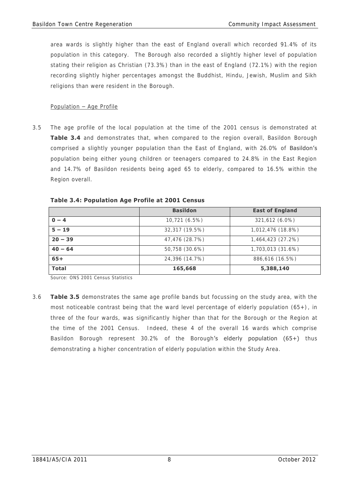area wards is slightly higher than the east of England overall which recorded 91.4% of its population in this category. The Borough also recorded a slightly higher level of population stating their religion as Christian (73.3%) than in the east of England (72.1%) with the region recording slightly higher percentages amongst the Buddhist, Hindu, Jewish, Muslim and Sikh religions than were resident in the Borough.

# Population – Age Profile

3.5 The age profile of the local population at the time of the 2001 census is demonstrated at **Table 3.4** and demonstrates that, when compared to the region overall, Basildon Borough comprised a slightly younger population than the East of England, with 26.0% of **Basildon's** population being either young children or teenagers compared to 24.8% in the East Region and 14.7% of Basildon residents being aged 65 to elderly, compared to 16.5% within the Region overall.

|              | <b>Basildon</b> | <b>East of England</b> |
|--------------|-----------------|------------------------|
| $0 - 4$      | 10,721 (6.5%)   | 321,612 (6.0%)         |
| $5 - 19$     | 32,317 (19.5%)  | 1,012,476 (18.8%)      |
| $20 - 39$    | 47,476 (28.7%)  | 1,464,423 (27.2%)      |
| $40 - 64$    | 50,758 (30.6%)  | 1,703,013 (31.6%)      |
| $65+$        | 24,396 (14.7%)  | 886,616 (16.5%)        |
| <b>Total</b> | 165,668         | 5,388,140              |

 **Table 3.4: Population Age Profile at 2001 Census** 

Source: ONS 2001 Census Statistics

3.6 **Table 3.5** demonstrates the same age profile bands but focussing on the study area, with the most noticeable contrast being that the ward level percentage of elderly population  $(65+)$ , in three of the four wards, was significantly higher than that for the Borough or the Region at the time of the 2001 Census. Indeed, these 4 of the overall 16 wards which comprise Basildon Borough represent 30.2% of the Borough's elderly population (65+) thus demonstrating a higher concentration of elderly population within the Study Area.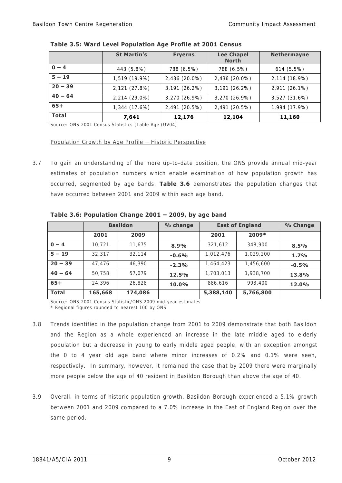|              | <b>St Martin's</b> | <b>Fryerns</b> | <b>Lee Chapel</b><br><b>North</b> | <b>Nethermayne</b> |
|--------------|--------------------|----------------|-----------------------------------|--------------------|
| $0 - 4$      | 443 (5.8%)         | 788 (6.5%)     | 788 (6.5%)                        | $614(5.5\%)$       |
| $5 - 19$     | 1,519 (19.9%)      | 2,436 (20.0%)  | 2,436 (20.0%)                     | 2,114 (18.9%)      |
| $20 - 39$    | 2,121 (27.8%)      | 3,191 (26.2%)  | 3,191 (26.2%)                     | 2,911 (26.1%)      |
| $40 - 64$    | 2,214 (29.0%)      | 3,270 (26.9%)  | 3,270 (26.9%)                     | 3,527 (31.6%)      |
| $65+$        | 1,344 (17.6%)      | 2,491 (20.5%)  | 2,491 (20.5%)                     | 1,994 (17.9%)      |
| <b>Total</b> | 7,641              | 12,176         | 12,104                            | 11,160             |

### **Table 3.5: Ward Level Population Age Profile at 2001 Census**

Source: ONS 2001 Census Statistics (Table Age (UV04)

#### Population Growth by Age Profile – Historic Perspective

3.7 To gain an understanding of the more up-to-date position, the ONS provide annual mid-year estimates of population numbers which enable examination of how population growth has occurred, segmented by age bands. **Table 3.6** demonstrates the population changes that have occurred between 2001 and 2009 within each age band.

|              |         | <b>Basildon</b> | % change |           | <b>East of England</b> | % Change |
|--------------|---------|-----------------|----------|-----------|------------------------|----------|
|              | 2001    | 2009            |          | 2001      | $2009*$                |          |
| $0 - 4$      | 10.721  | 11.675          | 8.9%     | 321,612   | 348,900                | 8.5%     |
| $5 - 19$     | 32,317  | 32.114          | $-0.6%$  | 1,012,476 | 1,029,200              | 1.7%     |
| $20 - 39$    | 47.476  | 46,390          | $-2.3%$  | 1,464,423 | 1,456,600              | $-0.5%$  |
| $40 - 64$    | 50.758  | 57.079          | 12.5%    | 1,703,013 | 1,938,700              | 13.8%    |
| $65+$        | 24,396  | 26,828          | 10.0%    | 886,616   | 993,400                | 12.0%    |
| <b>Total</b> | 165,668 | 174,086         |          | 5,388,140 | 5,766,800              |          |

 **Table 3.6: Population Change 2001 – 2009, by age band** 

Source: ONS 2001 Census Statistic/ONS 2009 mid-year estimates \* Regional figures rounded to nearest 100 by ONS

- 3.8 Trends identified in the population change from 2001 to 2009 demonstrate that both Basildon and the Region as a whole experienced an increase in the late middle aged to elderly population but a decrease in young to early middle aged people, with an exception amongst the 0 to 4 year old age band where minor increases of 0.2% and 0.1% were seen, respectively. In summary, however, it remained the case that by 2009 there were marginally more people below the age of 40 resident in Basildon Borough than above the age of 40.
- 3.9 Overall, in terms of historic population growth, Basildon Borough experienced a 5.1% growth between 2001 and 2009 compared to a 7.0% increase in the East of England Region over the same period.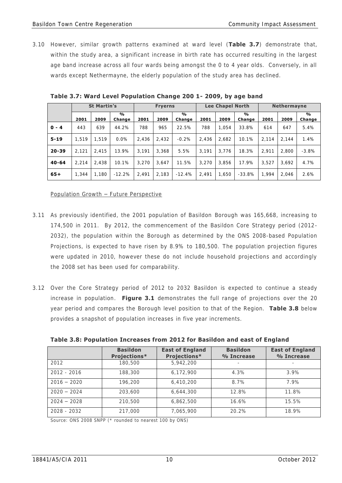3.10 However, similar growth patterns examined at ward level (**Table 3.7**) demonstrate that, within the study area, a significant increase in birth rate has occurred resulting in the largest age band increase across all four wards being amongst the 0 to 4 year olds. Conversely, in all wards except Nethermayne, the elderly population of the study area has declined.

|           |       | <b>St Martin's</b> |             |       | <b>Fryerns</b> |                         |       | <b>Lee Chapel North</b> |             |       | <b>Nethermayne</b> |                         |
|-----------|-------|--------------------|-------------|-------|----------------|-------------------------|-------|-------------------------|-------------|-------|--------------------|-------------------------|
|           | 2001  | 2009               | %<br>Change | 2001  | 2009           | $\frac{0}{0}$<br>Change | 2001  | 2009                    | %<br>Change | 2001  | 2009               | $\frac{0}{0}$<br>Change |
| $0 - 4$   | 443   | 639                | 44.2%       | 788   | 965            | 22.5%                   | 788   | 1.054                   | 33.8%       | 614   | 647                | 5.4%                    |
| $5 - 19$  | 1.519 | 1.519              | $0.0\%$     | 2.436 | 2.432          | $-0.2%$                 | 2.436 | 2.682                   | 10.1%       | 2.114 | 2.144              | 1.4%                    |
| $20 - 39$ | 2.121 | 2.415              | 13.9%       | 3.191 | 3.368          | 5.5%                    | 3.191 | 3.776                   | 18.3%       | 2.911 | 2.800              | $-3.8%$                 |
| $40 - 64$ | 2.214 | 2.438              | 10.1%       | 3.270 | 3.647          | 11.5%                   | 3.270 | 3.856                   | 17.9%       | 3.527 | 3.692              | 4.7%                    |
| $65+$     | 1.344 | 1,180              | $-12.2%$    | 2.491 | 2,183          | $-12.4%$                | 2.491 | 1,650                   | $-33.8%$    | 1.994 | 2.046              | 2.6%                    |

 **Table 3.7: Ward Level Population Change 200 1- 2009, by age band** 

#### Population Growth – Future Perspective

- 3.11 As previously identified, the 2001 population of Basildon Borough was 165,668, increasing to 174,500 in 2011. By 2012, the commencement of the Basildon Core Strategy period (2012- 2032), the population within the Borough as determined by the ONS 2008-based Population Projections, is expected to have risen by 8.9% to 180,500. The population projection figures were updated in 2010, however these do not include household projections and accordingly the 2008 set has been used for comparability.
- 3.12 Over the Core Strategy period of 2012 to 2032 Basildon is expected to continue a steady increase in population. **Figure 3.1** demonstrates the full range of projections over the 20 year period and compares the Borough level position to that of the Region. **Table 3.8** below provides a snapshot of population increases in five year increments.

|               | <b>Basildon</b><br>Projections* | <b>East of England</b><br>Projections* | <b>Basildon</b><br>% Increase | <b>East of England</b><br>% Increase |
|---------------|---------------------------------|----------------------------------------|-------------------------------|--------------------------------------|
| 2012          | 180,500                         | 5.942.200                              |                               | $\sim$                               |
| $2012 - 2016$ | 188,300                         | 6.172.900                              | 4.3%                          | 3.9%                                 |
| $2016 - 2020$ | 196,200                         | 6.410.200                              | 8.7%                          | 7.9%                                 |
| $2020 - 2024$ | 203,600                         | 6,644,300                              | 12.8%                         | 11.8%                                |
| $2024 - 2028$ | 210,500                         | 6.862.500                              | 16.6%                         | 15.5%                                |
| $2028 - 2032$ | 217,000                         | 7.065.900                              | $20.2\%$                      | 18.9%                                |

 **Table 3.8: Population Increases from 2012 for Basildon and east of England** 

Source: ONS 2008 SNPP (\* rounded to nearest 100 by ONS)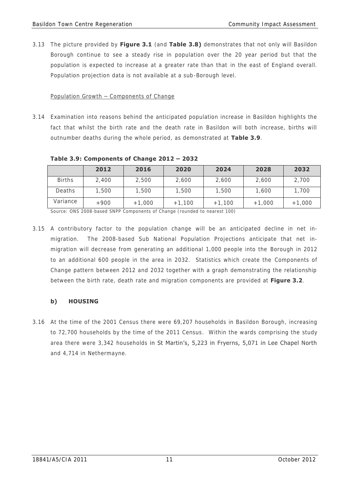3.13 The picture provided by **Figure 3.1** (and **Table 3.8)** demonstrates that not only will Basildon Borough continue to see a steady rise in population over the 20 year period but that the population is expected to increase at a greater rate than that in the east of England overall. Population projection data is not available at a sub-Borough level.

### Population Growth – Components of Change

3.14 Examination into reasons behind the anticipated population increase in Basildon highlights the fact that whilst the birth rate and the death rate in Basildon will both increase, births will outnumber deaths during the whole period, as demonstrated at **Table 3.9**.

|               | 2012   | 2016     | 2020     | 2024     | 2028     | 2032     |
|---------------|--------|----------|----------|----------|----------|----------|
| <b>Births</b> | 2,400  | 2,500    | 2,600    | 2,600    | 2,600    | 2,700    |
| Deaths        | 1,500  | 1,500    | 1,500    | 1,500    | 1,600    | 1,700    |
| Variance      | $+900$ | $+1,000$ | $+1,100$ | $+1,100$ | $+1,000$ | $+1,000$ |

 **Table 3.9: Components of Change 2012 – 2032** 

Source: ONS 2008-based SNPP Components of Change (rounded to nearest 100)

3.15 A contributory factor to the population change will be an anticipated decline in net inmigration. The 2008-based Sub National Population Projections anticipate that net inmigration will decrease from generating an additional 1,000 people into the Borough in 2012 to an additional 600 people in the area in 2032. Statistics which create the Components of Change pattern between 2012 and 2032 together with a graph demonstrating the relationship between the birth rate, death rate and migration components are provided at **Figure 3.2**.

# **b) HOUSING**

3.16 At the time of the 2001 Census there were 69,207 households in Basildon Borough, increasing to 72,700 households by the time of the 2011 Census. Within the wards comprising the study area there were 3,342 households in St Martin's, 5,223 in Fryerns, 5,071 in Lee Chapel North and 4,714 in Nethermayne.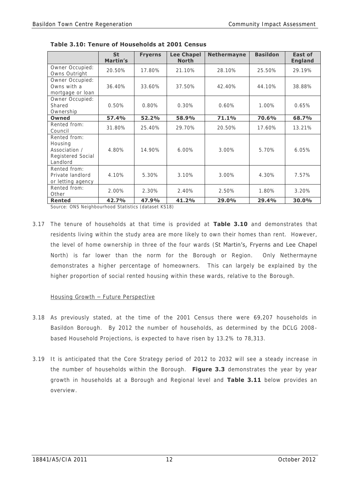|                                                                           | <b>St</b><br>Martin's | <b>Fryerns</b> | <b>Lee Chapel</b><br><b>North</b> | <b>Nethermayne</b> | <b>Basildon</b> | East of<br><b>England</b> |
|---------------------------------------------------------------------------|-----------------------|----------------|-----------------------------------|--------------------|-----------------|---------------------------|
| Owner Occupied:<br>Owns Outright                                          | 20.50%                | 17.80%         | 21.10%                            | 28.10%             | 25.50%          | 29.19%                    |
| Owner Occupied:<br>Owns with a<br>mortgage or loan                        | 36.40%                | 33.60%         | 37.50%                            | 42.40%             | 44.10%          | 38.88%                    |
| Owner Occupied:<br>Shared<br>Ownership                                    | 0.50%                 | 0.80%          | 0.30%                             | 0.60%              | 1.00%           | 0.65%                     |
| Owned                                                                     | 57.4%                 | 52.2%          | 58.9%                             | 71.1%              | 70.6%           | 68.7%                     |
| Rented from:<br>Council                                                   | 31.80%                | 25.40%         | 29.70%                            | 20.50%             | 17.60%          | 13.21%                    |
| Rented from:<br>Housing<br>Association /<br>Registered Social<br>Landlord | 4.80%                 | 14.90%         | $6.00\%$                          | 3.00%              | 5.70%           | 6.05%                     |
| Rented from:<br>Private landlord<br>or letting agency                     | 4.10%                 | 5.30%          | 3.10%                             | 3.00%              | 4.30%           | 7.57%                     |
| Rented from:<br>Other                                                     | 2.00%                 | 2.30%          | 2.40%                             | 2.50%              | 1.80%           | 3.20%                     |
| <b>Rented</b>                                                             | 42.7%                 | 47.9%          | 41.2%                             | 29.0%              | 29.4%           | 30.0%                     |

 **Table 3.10: Tenure of Households at 2001 Census** 

Source: ONS Neighbourhood Statistics (dataset KS18)

3.17 The tenure of households at that time is provided at **Table 3.10** and demonstrates that residents living within the study area are more likely to own their homes than rent. However, the level of home ownership in three of the four wards (St Martin's, Fryerns and Lee Chapel North) is far lower than the norm for the Borough or Region. Only Nethermayne demonstrates a higher percentage of homeowners. This can largely be explained by the higher proportion of social rented housing within these wards, relative to the Borough.

### Housing Growth – Future Perspective

- 3.18 As previously stated, at the time of the 2001 Census there were 69,207 households in Basildon Borough. By 2012 the number of households, as determined by the DCLG 2008 based Household Projections, is expected to have risen by 13.2% to 78,313.
- 3.19 It is anticipated that the Core Strategy period of 2012 to 2032 will see a steady increase in the number of households within the Borough. **Figure 3.3** demonstrates the year by year growth in households at a Borough and Regional level and **Table 3.11** below provides an overview.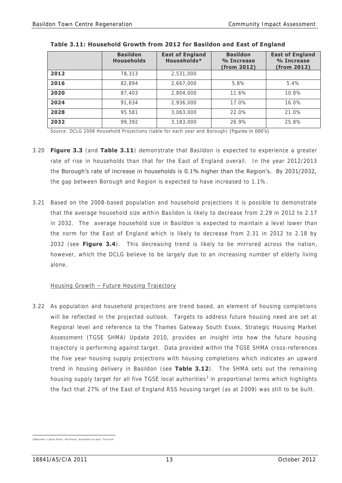|      | <b>Basildon</b><br><b>Households</b> | <b>East of England</b><br>Households* | <b>Basildon</b><br>% Increase<br>(from 2012) | <b>East of England</b><br>% Increase<br>(from 2012) |
|------|--------------------------------------|---------------------------------------|----------------------------------------------|-----------------------------------------------------|
| 2012 | 78,313                               | 2,531,000                             |                                              |                                                     |
| 2016 | 82.894                               | 2,667,000                             | 5.8%                                         | 5.4%                                                |
| 2020 | 87,403                               | 2,804,000                             | 11.6%                                        | 10.8%                                               |
| 2024 | 91.634                               | 2,936,000                             | 17.0%                                        | $16.0\%$                                            |
| 2028 | 95.581                               | 3,063,000                             | 22.0%                                        | 21.0%                                               |
| 2032 | 99.392                               | 3,183,000                             | 26.9%                                        | 25.8%                                               |

|  | Table 3.11: Household Growth from 2012 for Basildon and East of England |  |
|--|-------------------------------------------------------------------------|--|
|--|-------------------------------------------------------------------------|--|

Source: DCLG 2008 Household Projections (table for each year and Borough) (figures in 000's)

- 3.20 **Figure 3.3** (and **Table 3.11**) demonstrate that Basildon is expected to experience a greater rate of rise in households than that for the East of England overall. In the year 2012/2013 the Borough's rate of increase in households is 0.1% higher than the Region's. By 2031/2032, the gap between Borough and Region is expected to have increased to 1.1%.
- 3.21 Based on the 2008-based population and household projections it is possible to demonstrate that the average household size within Basildon is likely to decrease from 2.29 in 2012 to 2.17 in 2032. The average household size in Basildon is expected to maintain a level lower than the norm for the East of England which is likely to decrease from 2.31 in 2012 to 2.18 by 2032 (see **Figure 3.4**). This decreasing trend is likely to be mirrored across the nation, however, which the DCLG believe to be largely due to an increasing number of elderly living alone.

### Housing Growth – Future Housing Trajectory

3.22 As population and household projections are trend based, an element of housing completions will be reflected in the projected outlook. Targets to address future housing need are set at Regional level and reference to the Thames Gateway South Essex, Strategic Housing Market Assessment (TGSE SHMA) Update 2010, provides an insight into how the future housing trajectory is performing against target. Data provided within the TGSE SHMA cross-references the five year housing supply projections with housing completions which indicates an upward trend in housing delivery in Basildon (see **Table 3.12**). The SHMA sets out the remaining housing supply target for all five TGSE local authorities<sup>3</sup> in proportional terms which highlights the fact that 27% of the East of England RSS housing target (as at 2009) was still to be built.

 3 Basildon; Castl e Point; Rochford; Southend- on-Sea; Thurrock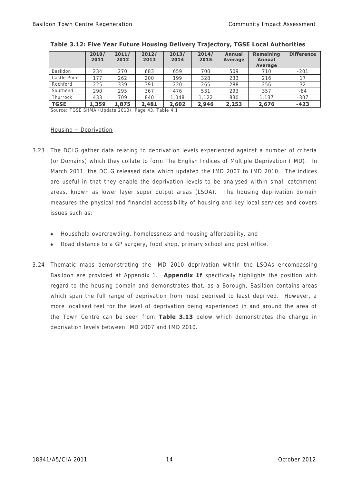|                 | 2010/<br>2011 | 2011/<br>2012 | 2012/<br>2013 | 2013/<br>2014 | 2014/<br>2015 | <b>Annual</b><br><b>Average</b> | Remaining<br>Annual<br>Average | <b>Difference</b> |
|-----------------|---------------|---------------|---------------|---------------|---------------|---------------------------------|--------------------------------|-------------------|
| <b>Basildon</b> | 234           | 270           | 683           | 659           | 700           | 509                             | 710                            | $-201$            |
| Castle Point    | 177           | 262           | 200           | 199           | 328           | 233                             | 216                            |                   |
| Rochford        | 225           | 339           | 391           | 220           | 265           | 288                             | 256                            | 32                |
| Southend        | 290           | 295           | 367           | 476           | 531           | 293                             | 357                            | $-64$             |
| Thurrock        | 433           | 709           | 840           | 1.048         | ,122          | 830                             | .137                           | $-307$            |
| <b>TGSE</b>     | 1,359         | 1,875         | 2,481         | 2,602         | 2,946         | 2,253                           | 2,676                          | $-423$            |

| Table 3.12: Five Year Future Housing Delivery Trajectory, TGSE Local Authorities |  |  |
|----------------------------------------------------------------------------------|--|--|
|----------------------------------------------------------------------------------|--|--|

Source: TGSE SHMA (Update 2010), Page 43, Table 4.1

#### Housing – Deprivation

- 3.23 The DCLG gather data relating to deprivation levels experienced against a number of criteria (or Domains) which they collate to form The English Indices of Multiple Deprivation (IMD). In March 2011, the DCLG released data which updated the IMD 2007 to IMD 2010. The indices are useful in that they enable the deprivation levels to be analysed within small catchment areas, known as lower layer super output areas (LSOA). The housing deprivation domain measures the physical and financial accessibility of housing and key local services and covers issues such as:
	- Household overcrowding, homelessness and housing affordability, and
	- Road distance to a GP surgery, food shop, primary school and post office.
- 3.24 Thematic maps demonstrating the IMD 2010 deprivation within the LSOAs encompassing Basildon are provided at Appendix 1. **Appendix 1f** specifically highlights the position with regard to the housing domain and demonstrates that, as a Borough, Basildon contains areas which span the full range of deprivation from most deprived to least deprived. However, a more localised feel for the level of deprivation being experienced in and around the area of the Town Centre can be seen from **Table 3.13** below which demonstrates the change in deprivation levels between IMD 2007 and IMD 2010.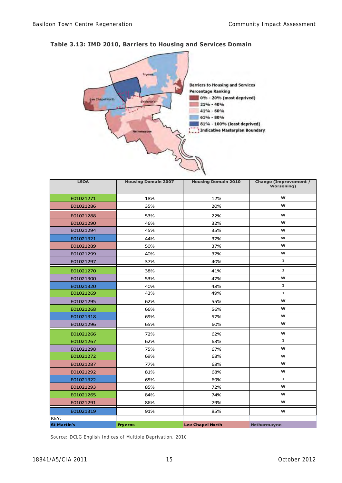



| <b>LSOA</b>        | <b>Housing Domain 2007</b> | <b>Housing Domain 2010</b> | <b>Change (Improvement /</b><br><b>Worsening</b> ) |
|--------------------|----------------------------|----------------------------|----------------------------------------------------|
| E01021271          | 18%                        | 12%                        | W                                                  |
| E01021286          | 35%                        | 20%                        | W                                                  |
| E01021288          | 53%                        | 22%                        | w                                                  |
| E01021290          | 46%                        | 32%                        | w                                                  |
| E01021294          | 45%                        | 35%                        | w                                                  |
| E01021321          | 44%                        | 37%                        | w                                                  |
| E01021289          | 50%                        | 37%                        | w                                                  |
| E01021299          | 40%                        | 37%                        | W                                                  |
| E01021297          | 37%                        | 40%                        | $\mathbf{I}$                                       |
| E01021270          | 38%                        | 41%                        | Ι.                                                 |
| E01021300          | 53%                        | 47%                        | w                                                  |
| E01021320          | 40%                        | 48%                        | Ι.                                                 |
| E01021269          | 43%                        | 49%                        | $\mathbf{I}$                                       |
| E01021295          | 62%                        | 55%                        | W                                                  |
| E01021268          | 66%                        | 56%                        | w                                                  |
| E01021318          | 69%                        | 57%                        | w                                                  |
| E01021296          | 65%                        | 60%                        | w                                                  |
| E01021266          | 72%                        | 62%                        | W                                                  |
| E01021267          | 62%                        | 63%                        | $\mathbf I$                                        |
| E01021298          | 75%                        | 67%                        | W                                                  |
| E01021272          | 69%                        | 68%                        | W                                                  |
| E01021287          | 77%                        | 68%                        | W                                                  |
| E01021292          | 81%                        | 68%                        | W                                                  |
| E01021322          | 65%                        | 69%                        | $\mathbf I$                                        |
| E01021293          | 85%                        | 72%                        | W                                                  |
| E01021265          | 84%                        | 74%                        | W                                                  |
| E01021291          | 86%                        | 79%                        | W                                                  |
| E01021319          | 91%                        | 85%                        | W                                                  |
| KEY:               |                            |                            |                                                    |
| <b>St Martin's</b> | <b>Fryerns</b>             | <b>Lee Chapel North</b>    | <b>Nethermayne</b>                                 |

Source: DCLG English Indices of Multiple Deprivation, 2010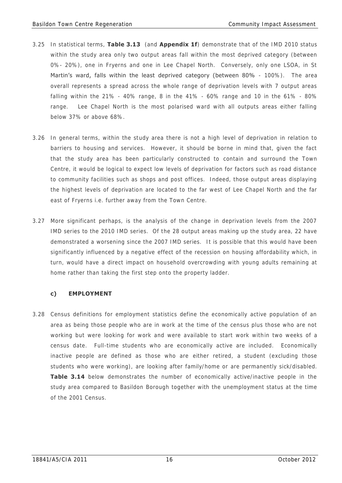- 3.25 In statistical terms, **Table 3.13** (and **Appendix 1f**) demonstrate that of the IMD 2010 status within the study area only two output areas fall within the most deprived category (between 0%- 20%), one in Fryerns and one in Lee Chapel North. Conversely, only one LSOA, in St Martin's ward, falls within the least deprived category (between 80% - 100%). The area overall represents a spread across the whole range of deprivation levels with 7 output areas falling within the 21% - 40% range, 8 in the 41% - 60% range and 10 in the 61% - 80% range. Lee Chapel North is the most polarised ward with all outputs areas either falling below 37% or above 68%.
- 3.26 In general terms, within the study area there is not a high level of deprivation in relation to barriers to housing and services. However, it should be borne in mind that, given the fact that the study area has been particularly constructed to contain and surround the Town Centre, it would be logical to expect low levels of deprivation for factors such as road distance to community facilities such as shops and post offices. Indeed, those output areas displaying the highest levels of deprivation are located to the far west of Lee Chapel North and the far east of Fryerns i.e. further away from the Town Centre.
- 3.27 More significant perhaps, is the analysis of the change in deprivation levels from the 2007 IMD series to the 2010 IMD series. Of the 28 output areas making up the study area, 22 have demonstrated a worsening since the 2007 IMD series. It is possible that this would have been significantly influenced by a negative effect of the recession on housing affordability which, in turn, would have a direct impact on household overcrowding with young adults remaining at home rather than taking the first step onto the property ladder.

# **c) EMPLOYMENT**

3.28 Census definitions for employment statistics define the economically active population of an area as being those people who are in work at the time of the census plus those who are not working but were looking for work and were available to start work within two weeks of a census date. Full-time students who are economically active are included. Economically inactive people are defined as those who are either retired, a student (excluding those students who were working), are looking after family/home or are permanently sick/disabled. **Table 3.14** below demonstrates the number of economically active/inactive people in the study area compared to Basildon Borough together with the unemployment status at the time of the 2001 Census.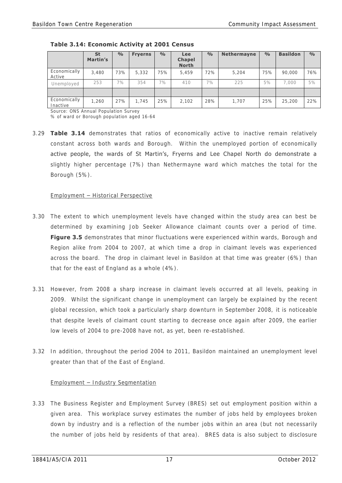|                          | <b>St</b><br>Martin's | $\frac{0}{0}$ | <b>Fryerns</b> | $\frac{0}{0}$ | Lee<br><b>Chapel</b><br><b>North</b> | $\frac{0}{0}$ | <b>Nethermayne</b> | $\frac{0}{0}$ | <b>Basildon</b> | $\frac{0}{0}$ |
|--------------------------|-----------------------|---------------|----------------|---------------|--------------------------------------|---------------|--------------------|---------------|-----------------|---------------|
| Economically<br>Active   | 3,480                 | 73%           | 5,332          | 75%           | 5,459                                | 72%           | 5.204              | 75%           | 90,000          | 76%           |
| Unemployed               | 253                   | 7%            | 354            | 7%            | 410                                  | 7%            | 225                | 5%            | 7.000           | 5%            |
|                          |                       |               |                |               |                                      |               |                    |               |                 |               |
| Economically<br>Inactive | 1,260                 | 27%           | 1.745          | 25%           | 2,102                                | 28%           | 1.707              | 25%           | 25,200          | 22%           |

 **Table 3.14: Economic Activity at 2001 Census** 

Source: ONS Annual Population Survey

% of ward or Borough population aged 16-64

3.29 **Table 3.14** demonstrates that ratios of economically active to inactive remain relatively constant across both wards and Borough. Within the unemployed portion of economically active people, the wards of St Martin's, Fryerns and Lee Chapel North do demonstrate a slightly higher percentage (7%) than Nethermayne ward which matches the total for the Borough (5%).

#### Employment – Historical Perspective

- 3.30 The extent to which unemployment levels have changed within the study area can best be determined by examining Job Seeker Allowance claimant counts over a period of time. **Figure 3.5** demonstrates that minor fluctuations were experienced within wards, Borough and Region alike from 2004 to 2007, at which time a drop in claimant levels was experienced across the board. The drop in claimant level in Basildon at that time was greater (6%) than that for the east of England as a whole (4%).
- 3.31 However, from 2008 a sharp increase in claimant levels occurred at all levels, peaking in 2009. Whilst the significant change in unemployment can largely be explained by the recent global recession, which took a particularly sharp downturn in September 2008, it is noticeable that despite levels of claimant count starting to decrease once again after 2009, the earlier low levels of 2004 to pre-2008 have not, as yet, been re-established.
- 3.32 In addition, throughout the period 2004 to 2011, Basildon maintained an unemployment level greater than that of the East of England.

### Employment – Industry Segmentation

3.33 The Business Register and Employment Survey (BRES) set out employment position within a given area. This workplace survey estimates the number of jobs held by employees broken down by industry and is a reflection of the number jobs within an area (but not necessarily the number of jobs held by residents of that area). BRES data is also subject to disclosure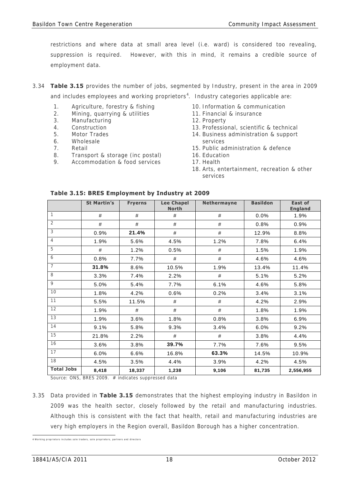restrictions and where data at small area level (i.e. ward) is considered too revealing, suppression is required. However, with this in mind, it remains a credible source of employment data.

- 3.34 **Table 3.15** provides the number of jobs, segmented by Industry, present in the area in 2009 and includes employees and working proprietors<sup>4</sup>. Industry categories applicable are:
	- 1. Agriculture, forestry & fishing
	- 2. Mining, quarrying & utilities
	- 3. Manufacturing
	- 4. Construction
	- 5. Motor Trades
	- 6. Wholesale
	- 7. Retail
	- 8. Transport & storage (inc postal)
	- 9. Accommodation & food services
- 10. Information & communication
- 11. Financial & insurance
- 12. Property
- 13. Professional, scientific & technical
- 14. Business administration & support services
- 15. Public administration & defence
- 16. Education
- 17. Health
- 18. Arts, entertainment, recreation & other services

|                   | <b>St Martin's</b> | <b>Fryerns</b> | <b>Lee Chapel</b><br><b>North</b> | <b>Nethermayne</b> | <b>Basildon</b> | <b>East of</b><br><b>England</b> |
|-------------------|--------------------|----------------|-----------------------------------|--------------------|-----------------|----------------------------------|
| 1                 | #                  | #              | #                                 | #                  | 0.0%            | 1.9%                             |
| $\overline{2}$    | #                  | #              | #                                 | #                  | 0.8%            | 0.9%                             |
| 3                 | 0.9%               | 21.4%          | #                                 | #                  | 12.9%           | 8.8%                             |
| 4                 | 1.9%               | 5.6%           | 4.5%                              | 1.2%               | 7.8%            | 6.4%                             |
| 5                 | #                  | 1.2%           | 0.5%                              | #                  | 1.5%            | 1.9%                             |
| 6                 | 0.8%               | 7.7%           | #                                 | #                  | 4.6%            | 4.6%                             |
| $\overline{7}$    | 31.8%              | 8.6%           | 10.5%                             | 1.9%               | 13.4%           | 11.4%                            |
| 8                 | 3.3%               | 7.4%           | 2.2%                              | #                  | 5.1%            | 5.2%                             |
| $\circ$           | 5.0%               | 5.4%           | 7.7%                              | 6.1%               | 4.6%            | 5.8%                             |
| 10                | 1.8%               | 4.2%           | 0.6%                              | 0.2%               | 3.4%            | 3.1%                             |
| 11                | 5.5%               | 11.5%          | #                                 | #                  | 4.2%            | 2.9%                             |
| 12                | 1.9%               | #              | #                                 | #                  | 1.8%            | 1.9%                             |
| 13                | 1.9%               | 3.6%           | 1.8%                              | 0.8%               | 3.8%            | 6.9%                             |
| 14                | 9.1%               | 5.8%           | 9.3%                              | 3.4%               | 6.0%            | 9.2%                             |
| 15                | 21.8%              | 2.2%           | #                                 | #                  | 3.8%            | 4.4%                             |
| 16                | 3.6%               | 3.8%           | 39.7%                             | 7.7%               | 7.6%            | 9.5%                             |
| 17                | 6.0%               | 6.6%           | 16.8%                             | 63.3%              | 14.5%           | 10.9%                            |
| 18                | 4.5%               | 3.5%           | 4.4%                              | 3.9%               | 4.2%            | 4.5%                             |
| <b>Total Jobs</b> | 8,418              | 18,337         | 1,238                             | 9,106              | 81,735          | 2,556,955                        |

### **Table 3.15: BRES Employment by Industry at 2009**

Source: ONS, BRES 2009. # indicates suppressed data

3.35 Data provided in **Table 3.15** demonstrates that the highest employing industry in Basildon in 2009 was the health sector, closely followed by the retail and manufacturing industries. Although this is consistent with the fact that health, retail and manufacturing industries are very high employers in the Region overall, Basildon Borough has a higher concentration.

<sup>4&</sup>lt;br>4 Working proprietors includes sole traders, sole proprietors, partners and directors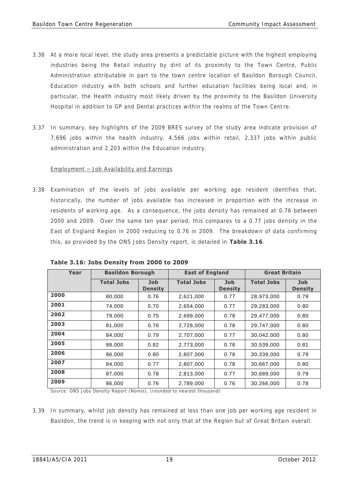- 3.36 At a more local level, the study area presents a predictable picture with the highest employing industries being the Retail industry by dint of its proximity to the Town Centre, Public Administration attributable in part to the town centre location of Basildon Borough Council, Education industry with both schools and further education facilities being local and, in particular, the Health industry most likely driven by the proximity to the Basildon University Hospital in addition to GP and Dental practices within the realms of the Town Centre.
- 3.37 In summary, key highlights of the 2009 BRES survey of the study area indicate provision of 7,696 jobs within the health industry, 4,566 jobs within retail, 2,337 jobs within public administration and 2,203 within the Education industry.

### Employment – Job Availability and Earnings

3.38 Examination of the levels of jobs available per working age resident identifies that, historically, the number of jobs available has increased in proportion with the increase in residents of working age. As a consequence, the jobs density has remained at 0.76 between 2000 and 2009. Over the same ten year period, this compares to a 0.77 jobs density in the East of England Region in 2000 reducing to 0.76 in 2009. The breakdown of data confirming this, as provided by the ONS Jobs Density report, is detailed in **Table 3.16**.

| Year | <b>Basildon Borough</b> |                       | <b>East of England</b> |                       | <b>Great Britain</b> |                       |
|------|-------------------------|-----------------------|------------------------|-----------------------|----------------------|-----------------------|
|      | <b>Total Jobs</b>       | Job<br><b>Density</b> | <b>Total Jobs</b>      | Job<br><b>Density</b> | <b>Total Jobs</b>    | Job<br><b>Density</b> |
| 2000 | 80,000                  | 0.76                  | 2,621,000              | 0.77                  | 28,973,000           | 0.79                  |
| 2001 | 74,000                  | 0.70                  | 2,654,000              | 0.77                  | 29,283,000           | 0.80                  |
| 2002 | 79,000                  | 0.75                  | 2,699,000              | 0.78                  | 29,477,000           | 0.80                  |
| 2003 | 81,000                  | 0.76                  | 2,728,000              | 0.78                  | 29,747,000           | 0.80                  |
| 2004 | 84,000                  | 0.79                  | 2,707,000              | 0.77                  | 30,042,000           | 0.80                  |
| 2005 | 88,000                  | 0.82                  | 2,773,000              | 0.78                  | 30,539,000           | 0.81                  |
| 2006 | 86,000                  | 0.80                  | 2,807,000              | 0.78                  | 30,339,000           | 0.79                  |
| 2007 | 84,000                  | 0.77                  | 2,807,000              | 0.78                  | 30,667,000           | 0.80                  |
| 2008 | 87,000                  | 0.78                  | 2,813,000              | 0.77                  | 30,689,000           | 0.79                  |
| 2009 | 86,000                  | 0.76                  | 2,789,000              | 0.76                  | 30,266,000           | 0.78                  |

Source: ONS Jobs Density Report (Nomis), (rounded to nearest thousand)

3.39 In summary, whilst job density has remained at less than one job per working age resident in Basildon, the trend is in keeping with not only that of the Region but of Great Britain overall.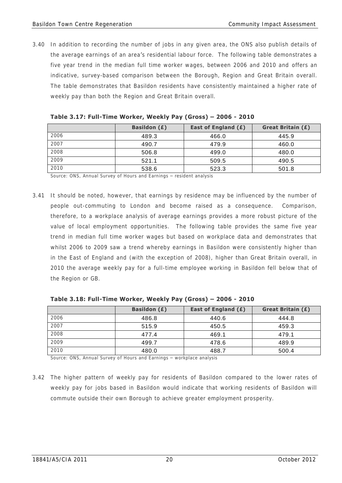3.40 In addition to recording the number of jobs in any given area, the ONS also publish details of the average earnings of an area's residential labour force. The following table demonstrates a five year trend in the median full time worker wages, between 2006 and 2010 and offers an indicative, survey-based comparison between the Borough, Region and Great Britain overall. The table demonstrates that Basildon residents have consistently maintained a higher rate of weekly pay than both the Region and Great Britain overall.

|      | <b>Basildon (£)</b> | East of England (£) | <b>Great Britain (£)</b> |
|------|---------------------|---------------------|--------------------------|
| 2006 | 489.3               | 466.0               | 445.9                    |
| 2007 | 490.7               | 479.9               | 460.0                    |
| 2008 | 506.8               | 499.0               | 480.0                    |
| 2009 | 521.1               | 509.5               | 490.5                    |
| 2010 | 538.6               | 523.3               | 501.8                    |

| Table 3.17: Full-Time Worker, Weekly Pay (Gross) – 2006 - 2010 |  |  |  |
|----------------------------------------------------------------|--|--|--|
|----------------------------------------------------------------|--|--|--|

Source: ONS, Annual Survey of Hours and Earnings – resident analysis

3.41 It should be noted, however, that earnings by residence may be influenced by the number of people out-commuting to London and become raised as a consequence. Comparison, therefore, to a workplace analysis of average earnings provides a more robust picture of the value of local employment opportunities. The following table provides the same five year trend in median full time worker wages but based on workplace data and demonstrates that whilst 2006 to 2009 saw a trend whereby earnings in Basildon were consistently higher than in the East of England and (with the exception of 2008), higher than Great Britain overall, in 2010 the average weekly pay for a full-time employee working in Basildon fell below that of the Region or GB.

|      | <b>Basildon (£)</b> | East of England (£) | <b>Great Britain (£)</b> |
|------|---------------------|---------------------|--------------------------|
| 2006 | 486.8               | 440.6               | 444.8                    |
| 2007 | 515.9               | 450.5               | 459.3                    |
| 2008 | 477.4               | 469.1               | 479.1                    |
| 2009 | 499.7               | 478.6               | 489.9                    |
| 2010 | 480.0               | 488.7               | 500.4                    |

 **Table 3.18: Full-Time Worker, Weekly Pay (Gross) – 2006 - 2010** 

Source: ONS, Annual Survey of Hours and Earnings – workplace analysis

3.42 The higher pattern of weekly pay for residents of Basildon compared to the lower rates of weekly pay for jobs based in Basildon would indicate that working residents of Basildon will commute outside their own Borough to achieve greater employment prosperity.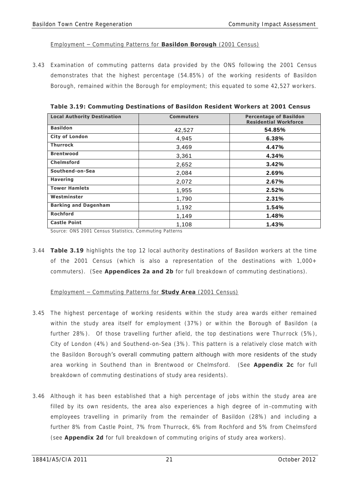#### Employment – Commuting Patterns for **Basildon Borough** (2001 Census)

3.43 Examination of commuting patterns data provided by the ONS following the 2001 Census demonstrates that the highest percentage (54.85%) of the working residents of Basildon Borough, remained within the Borough for employment; this equated to some 42,527 workers.

| <b>Local Authority Destination</b> | <b>Commuters</b> | <b>Percentage of Basildon</b><br><b>Residential Workforce</b> |
|------------------------------------|------------------|---------------------------------------------------------------|
| <b>Basildon</b>                    | 42,527           | 54.85%                                                        |
| <b>City of London</b>              | 4,945            | 6.38%                                                         |
| <b>Thurrock</b>                    | 3,469            | 4.47%                                                         |
| <b>Brentwood</b>                   | 3,361            | 4.34%                                                         |
| <b>Chelmsford</b>                  | 2,652            | 3.42%                                                         |
| Southend-on-Sea                    | 2,084            | 2.69%                                                         |
| <b>Havering</b>                    | 2,072            | 2.67%                                                         |
| <b>Tower Hamlets</b>               | 1,955            | 2.52%                                                         |
| Westminster                        | 1,790            | 2.31%                                                         |
| <b>Barking and Dagenham</b>        | 1,192            | 1.54%                                                         |
| <b>Rochford</b>                    | 1,149            | 1.48%                                                         |
| <b>Castle Point</b>                | 1,108            | 1.43%                                                         |

 **Table 3.19: Commuting Destinations of Basildon Resident Workers at 2001 Census** 

Source: ONS 2001 Census Statistics, Commuting Patterns

3.44 **Table 3.19** highlights the top 12 local authority destinations of Basildon workers at the time of the 2001 Census (which is also a representation of the destinations with 1,000+ commuters). (See **Appendices 2a and 2b** for full breakdown of commuting destinations).

### Employment – Commuting Patterns for **Study Area** (2001 Census)

- 3.45 The highest percentage of working residents within the study area wards either remained within the study area itself for employment (37%) or within the Borough of Basildon (a further 28%). Of those travelling further afield, the top destinations were Thurrock (5%), City of London (4%) and Southend-on-Sea (3%). This pattern is a relatively close match with the Basildon Borough's overall commuting pattern although with more residents of the study area working in Southend than in Brentwood or Chelmsford. (See **Appendix 2c** for full breakdown of commuting destinations of study area residents).
- 3.46 Although it has been established that a high percentage of jobs within the study area are filled by its own residents, the area also experiences a high degree of in-commuting with employees travelling in primarily from the remainder of Basildon (28%) and including a further 8% from Castle Point, 7% from Thurrock, 6% from Rochford and 5% from Chelmsford (see **Appendix 2d** for full breakdown of commuting origins of study area workers).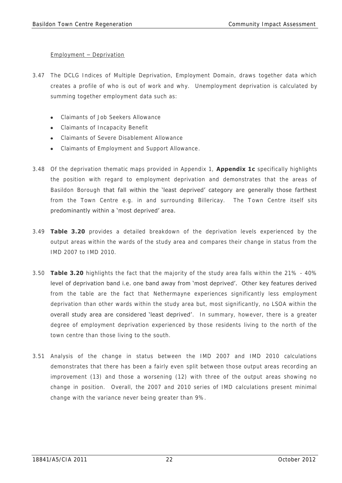### Employment – Deprivation

- 3.47 The DCLG Indices of Multiple Deprivation, Employment Domain, draws together data which creates a profile of who is out of work and why. Unemployment deprivation is calculated by summing together employment data such as:
	- Claimants of Job Seekers Allowance
	- Claimants of Incapacity Benefit
	- Claimants of Severe Disablement Allowance
	- Claimants of Employment and Support Allowance.
- 3.48 Of the deprivation thematic maps provided in Appendix 1, **Appendix 1c** specifically highlights the position with regard to employment deprivation and demonstrates that the areas of Basildon Borough that fall within the 'least deprived' category are generally those farthest from the Town Centre e.g. in and surrounding Billericay. The Town Centre itself sits predominantly within a 'most deprived' area.
- 3.49 **Table 3.20** provides a detailed breakdown of the deprivation levels experienced by the output areas within the wards of the study area and compares their change in status from the IMD 2007 to IMD 2010.
- 3.50 **Table 3.20** highlights the fact that the majority of the study area falls within the 21% 40% level of deprivation band i.e. one band away from 'most deprived'. Other key features derived from the table are the fact that Nethermayne experiences significantly less employment deprivation than other wards within the study area but, most significantly, no LSOA within the overall study area are considered 'least deprived'. In summary, however, there is a greater degree of employment deprivation experienced by those residents living to the north of the town centre than those living to the south.
- 3.51 Analysis of the change in status between the IMD 2007 and IMD 2010 calculations demonstrates that there has been a fairly even split between those output areas recording an improvement (13) and those a worsening (12) with three of the output areas showing no change in position. Overall, the 2007 and 2010 series of IMD calculations present minimal change with the variance never being greater than 9%.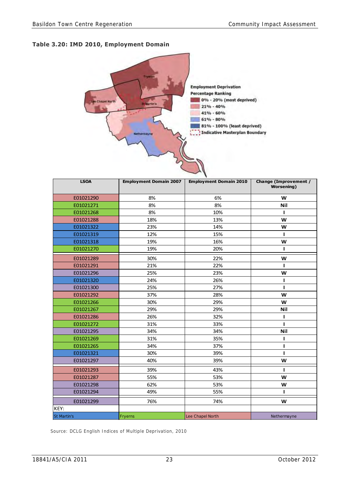## **Table 3.20: IMD 2010, Employment Domain**



| <b>LSOA</b> | <b>Employment Domain 2007</b> | <b>Employment Domain 2010</b> | <b>Change (Improvement /</b><br><b>Worsening</b> ) |
|-------------|-------------------------------|-------------------------------|----------------------------------------------------|
| E01021290   | 8%                            | 6%                            | W                                                  |
| E01021271   | 8%                            | 8%                            | <b>Nil</b>                                         |
| E01021268   | 8%                            | 10%                           | ı                                                  |
| E01021288   | 18%                           | 13%                           | W                                                  |
| E01021322   | 23%                           | 14%                           | W                                                  |
| E01021319   | 12%                           | 15%                           | L                                                  |
| E01021318   | 19%                           | 16%                           | W                                                  |
| E01021270   | 19%                           | 20%                           | ı                                                  |
| E01021289   | 30%                           | 22%                           | W                                                  |
| E01021291   | 21%                           | 22%                           | ı                                                  |
| E01021296   | 25%                           | 23%                           | W                                                  |
| E01021320   | 24%                           | 26%                           | ı                                                  |
| E01021300   | 25%                           | 27%                           | п                                                  |
| E01021292   | 37%                           | 28%                           | W                                                  |
| E01021266   | 30%                           | 29%                           | W                                                  |
| E01021267   | 29%                           | 29%                           | <b>Nil</b>                                         |
| E01021286   | 26%                           | 32%                           | ı                                                  |
| E01021272   | 31%                           | 33%                           | ı                                                  |
| E01021295   | 34%                           | 34%                           | <b>Nil</b>                                         |
| E01021269   | 31%                           | 35%                           | ı                                                  |
| E01021265   | 34%                           | 37%                           | ı                                                  |
| E01021321   | 30%                           | 39%                           | ı                                                  |
| E01021297   | 40%                           | 39%                           | W                                                  |
| E01021293   | 39%                           | 43%                           | ı                                                  |
| E01021287   | 55%                           | 53%                           | W                                                  |
| E01021298   | 62%                           | 53%                           | W                                                  |
| E01021294   | 49%                           | 55%                           | п                                                  |
| E01021299   | 76%                           | 74%                           | W                                                  |
| KEY:        |                               |                               |                                                    |
| St Martin's | Fryerns                       | Lee Chapel North              | Nethermayne                                        |

Source: DCLG English Indices of Multiple Deprivation, 2010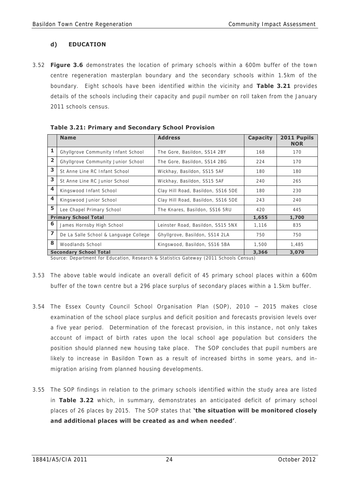# **d) EDUCATION**

3.52 **Figure 3.6** demonstrates the location of primary schools within a 600m buffer of the town centre regeneration masterplan boundary and the secondary schools within 1.5km of the boundary. Eight schools have been identified within the vicinity and **Table 3.21** provides details of the schools including their capacity and pupil number on roll taken from the January 2011 schools census.

|                         | <b>Name</b>                           | <b>Address</b>                     | <b>Capacity</b> | 2011 Pupils<br><b>NOR</b> |
|-------------------------|---------------------------------------|------------------------------------|-----------------|---------------------------|
| 1                       | Ghyllgrove Community Infant School    | The Gore, Basildon, SS14 2BY       | 168             | 170                       |
| 2                       | Ghyllgrove Community Junior School    | The Gore, Basildon, SS14 2BG       | 224             | 170                       |
| 3                       | St Anne Line RC Infant School         | Wickhay, Basildon, SS15 5AF        | 180             | 180                       |
| 3                       | St Anne Line RC Junior School         | Wickhay, Basildon, SS15 5AF        | 240             | 265                       |
| $\overline{\mathbf{4}}$ | Kingswood Infant School               | Clay Hill Road, Basildon, SS16 5DE | 180             | 230                       |
| $\overline{\mathbf{4}}$ | Kingswood Junior School               | Clay Hill Road, Basildon, SS16 5DE | 243             | 240                       |
| 5                       | Lee Chapel Primary School             | The Knares, Basildon, SS16 5RU     | 420             | 445                       |
|                         | <b>Primary School Total</b>           |                                    | 1,655           | 1,700                     |
| 6                       | James Hornsby High School             | Leinster Road, Basildon, SS15 5NX  | 1,116           | 835                       |
| $\overline{z}$          | De La Salle School & Language College | Ghyllgrove, Basildon, SS14 2LA     | 750             | 750                       |
| 8                       | Woodlands School                      | Kingswood, Basildon, SS16 5BA      | 1.500           | 1.485                     |
|                         | <b>Secondary School Total</b>         |                                    | 3,366           | 3,070                     |

 **Table 3.21: Primary and Secondary School Provision** 

Source: Department for Education, Research & Statistics Gateway (2011 Schools Census)

- 3.53 The above table would indicate an overall deficit of 45 primary school places within a 600m buffer of the town centre but a 296 place surplus of secondary places within a 1.5km buffer.
- 3.54 The Essex County Council School Organisation Plan (SOP), 2010 2015 makes close examination of the school place surplus and deficit position and forecasts provision levels over a five year period. Determination of the forecast provision, in this instance , not only takes account of impact of birth rates upon the local school age population but considers the position should planned new housing take place. The SOP concludes that pupil numbers are likely to increase in Basildon Town as a result of increased births in some years, and inmigration arising from planned housing developments.
- 3.55 The SOP findings in relation to the primary schools identified within the study area are listed in **Table 3.22** which, in summary, demonstrates an anticipated deficit of primary school places of 26 places by 2015. The SOP states that **'the situation will be monitored closely and additional places will be created as and when needed'**.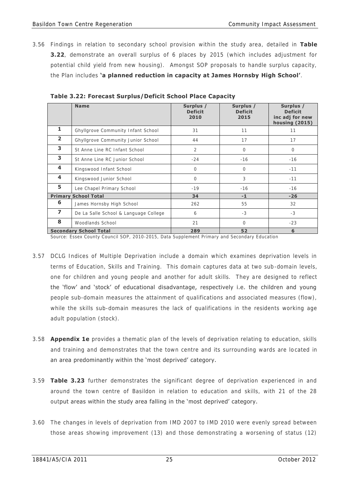3.56 Findings in relation to secondary school provision within the study area, detailed in **Table 3.22**, demonstrate an overall surplus of 6 places by 2015 (which includes adjustment for potential child yield from new housing). Amongst SOP proposals to handle surplus capacity, the Plan includes **'a planned reduction in capacity at James Hornsby High School'**.

|                         | <b>Name</b>                           | Surplus /<br><b>Deficit</b><br>2010 | Surplus /<br><b>Deficit</b><br>2015 | Surplus /<br><b>Deficit</b><br>inc adj for new<br><b>housing (2015)</b> |
|-------------------------|---------------------------------------|-------------------------------------|-------------------------------------|-------------------------------------------------------------------------|
| 1                       | Ghyllgrove Community Infant School    | 31                                  | 11                                  | 11                                                                      |
| $\overline{2}$          | Ghyllgrove Community Junior School    | 44                                  | 17                                  | 17                                                                      |
| 3                       | St Anne Line RC Infant School         | $\overline{2}$                      | $\circ$                             | $\circ$                                                                 |
| 3                       | St Anne Line RC Junior School         | $-24$                               | $-16$                               | $-16$                                                                   |
| 4                       | Kingswood Infant School               | $\bigcirc$                          | $\bigcirc$                          | $-11$                                                                   |
| $\overline{\mathbf{4}}$ | Kingswood Junior School               | $\bigcirc$                          | 3                                   | $-11$                                                                   |
| 5                       | Lee Chapel Primary School             | $-19$                               | $-16$                               | $-16$                                                                   |
| <b>Primary</b>          | <b>School Total</b>                   | 34                                  | $-1$                                | $-26$                                                                   |
| 6                       | James Hornsby High School             | 262                                 | 55                                  | 32                                                                      |
| $\overline{ }$          | De La Salle School & Language College | 6                                   | $-3$                                | $-3$                                                                    |
| 8                       | Woodlands School                      | 21                                  | $\bigcap$                           | $-23$                                                                   |
|                         | <b>Secondary School Total</b>         | 289                                 | 52                                  | 6                                                                       |

 **Table 3.22: Forecast Surplus/Deficit School Place Capacity** 

Source: Essex County Council SOP, 2010-2015, Data Supplement Primary and Secondary Education

- 3.57 DCLG Indices of Multiple Deprivation include a domain which examines deprivation levels in terms of Education, Skills and Training. This domain captures data at two sub-domain levels, one for children and young people and another for adult skills. They are designed to reflect the 'flow' and 'stock' of educational disadvantage, respectively i.e. the children and young people sub-domain measures the attainment of qualifications and associated measures (flow), while the skills sub-domain measures the lack of qualifications in the residents working age adult population (stock).
- 3.58 **Appendix 1e** provides a thematic plan of the levels of deprivation relating to education, skills and training and demonstrates that the town centre and its surrounding wards are located in an area predominantly within the 'most deprived' category.
- 3.59 **Table 3.23** further demonstrates the significant degree of deprivation experienced in and around the town centre of Basildon in relation to education and skills, with 21 of the 28 output areas within the study area falling in the 'most deprived' category.
- 3.60 The changes in levels of deprivation from IMD 2007 to IMD 2010 were evenly spread between those areas showing improvement (13) and those demonstrating a worsening of status (12)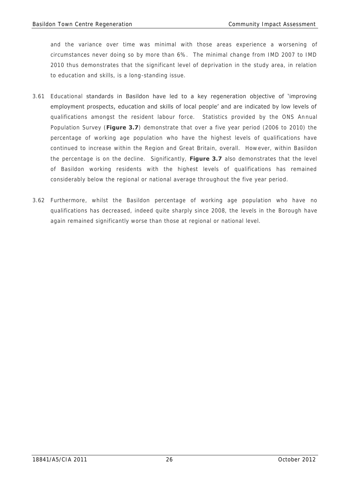and the variance over time was minimal with those areas experience a worsening of circumstances never doing so by more than 6%. The minimal change from IMD 2007 to IMD 2010 thus demonstrates that the significant level of deprivation in the study area, in relation to education and skills, is a long-standing issue.

- 3.61 Educational standards in Basildon have led to a key regeneration objective of 'improving employment prospects, education and skills of local people' and are indicated by low levels of qualifications amongst the resident labour force. Statistics provided by the ONS Annual Population Survey (**Figure 3.7**) demonstrate that over a five year period (2006 to 2010) the percentage of working age population who have the highest levels of qualifications have continued to increase within the Region and Great Britain, overall. However, within Basildon the percentage is on the decline. Significantly, **Figure 3.7** also demonstrates that the level of Basildon working residents with the highest levels of qualifications has remained considerably below the regional or national average throughout the five year period.
- 3.62 Furthermore, whilst the Basildon percentage of working age population who have no qualifications has decreased, indeed quite sharply since 2008, the levels in the Borough have again remained significantly worse than those at regional or national level.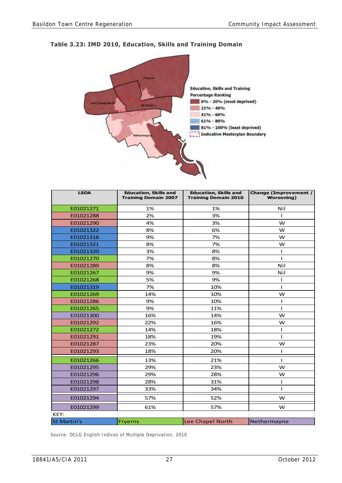

# **Table 3.23: IMD 2010, Education, Skills and Training Domain**

| <b>LSOA</b>        | <b>Education, Skills and</b><br><b>Training Domain 2007</b> | <b>Education, Skills and</b><br><b>Training Domain 2010</b> | <b>Change (Improvement /</b><br><b>Worsening</b> ) |
|--------------------|-------------------------------------------------------------|-------------------------------------------------------------|----------------------------------------------------|
| E01021271          | 1%                                                          | 1%                                                          | Nil                                                |
| E01021288          | 2%                                                          | 3%                                                          | $\mathbf{I}$                                       |
| E01021290          | 4%                                                          | 3%                                                          | W                                                  |
| E01021322          | 8%                                                          | 6%                                                          | w                                                  |
| E01021318          | 9%                                                          | 7%                                                          | w                                                  |
| E01021321          | 8%                                                          | 7%                                                          | W                                                  |
| E01021320          | 3%                                                          | 8%                                                          | ı                                                  |
| E01021270          | 7%                                                          | 8%                                                          | ı                                                  |
| E01021289          | 8%                                                          | 8%                                                          | Nil                                                |
| E01021267          | 9%                                                          | 9%                                                          | Nil                                                |
| E01021268          | 5%                                                          | 9%                                                          | L                                                  |
| E01021319          | 7%                                                          | 10%                                                         | ı                                                  |
| E01021269          | 14%                                                         | 10%                                                         | W                                                  |
| E01021286          | 9%                                                          | 10%                                                         | L                                                  |
| E01021265          | 9%                                                          | 11%                                                         | L                                                  |
| E01021300          | 16%                                                         | 14%                                                         | W                                                  |
| E01021292          | 22%                                                         | 16%                                                         | W                                                  |
| E01021272          | 14%                                                         | 18%                                                         | I                                                  |
| E01021291          | 18%                                                         | 19%                                                         | L                                                  |
| E01021287          | 23%                                                         | 20%                                                         | W                                                  |
| E01021293          | 18%                                                         | 20%                                                         | T                                                  |
| E01021266          | 13%                                                         | 21%                                                         | L                                                  |
| E01021295          | 29%                                                         | 23%                                                         | W                                                  |
| E01021296          | 29%                                                         | 28%                                                         | W                                                  |
| E01021298          | 28%                                                         | 31%                                                         | т                                                  |
| E01021297          | 33%                                                         | 34%                                                         | ı                                                  |
| E01021294          | 57%                                                         | 52%                                                         | W                                                  |
| E01021299          | 61%                                                         | 57%                                                         | w                                                  |
| KEY:               |                                                             |                                                             |                                                    |
| <b>St Martin's</b> | <b>Fryerns</b>                                              | Lee Chapel North                                            | Nethermayne                                        |

Source: DCLG English Indices of Multiple Deprivation, 2010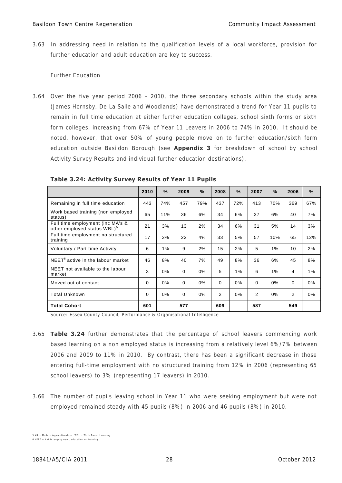3.63 In addressing need in relation to the qualification levels of a local workforce, provision for further education and adult education are key to success.

### Further Education

3.64 Over the five year period 2006 - 2010, the three secondary schools within the study area (James Hornsby, De La Salle and Woodlands) have demonstrated a trend for Year 11 pupils to remain in full time education at either further education colleges, school sixth forms or sixth form colleges, increasing from 67% of Year 11 Leavers in 2006 to 74% in 2010. It should be noted, however, that over 50% of young people move on to further education/sixth form education outside Basildon Borough (see **Appendix 3** for breakdown of school by school Activity Survey Results and individual further education destinations).

|                                                                             | 2010 | $\frac{9}{6}$ | 2009     | $\frac{9}{6}$ | 2008 | $\frac{9}{6}$ | 2007 | $\frac{9}{6}$ | 2006           | $\frac{9}{6}$ |
|-----------------------------------------------------------------------------|------|---------------|----------|---------------|------|---------------|------|---------------|----------------|---------------|
| Remaining in full time education                                            | 443  | 74%           | 457      | 79%           | 437  | 72%           | 413  | 70%           | 369            | 67%           |
| Work based training (non employed<br>status)                                | 65   | 11%           | 36       | 6%            | 34   | 6%            | 37   | 6%            | 40             | 7%            |
| Full time employment (inc MA's &<br>other employed status WBL) <sup>o</sup> | 21   | 3%            | 13       | 2%            | 34   | 6%            | 31   | 5%            | 14             | 3%            |
| Full time employment no structured<br>training                              | 17   | 3%            | 22       | 4%            | 33   | 5%            | 57   | 10%           | 65             | 12%           |
| Voluntary / Part time Activity                                              | 6    | 1%            | 9        | 2%            | 15   | 2%            | 5    | $1\%$         | 10             | 2%            |
| NEET <sup>6</sup> active in the labour market                               | 46   | 8%            | 40       | 7%            | 49   | 8%            | 36   | 6%            | 45             | 8%            |
| NEET not available to the labour<br>market                                  | 3    | $0\%$         | $\Omega$ | 0%            | 5    | $1\%$         | 6    | $1\%$         | 4              | $1\%$         |
| Moved out of contact                                                        | 0    | $0\%$         | 0        | 0%            | 0    | 0%            | 0    | 0%            | 0              | 0%            |
| <b>Total Unknown</b>                                                        | 0    | $0\%$         | $\Omega$ | 0%            | 2    | $0\%$         | 2    | 0%            | $\overline{2}$ | 0%            |
| <b>Total Cohort</b>                                                         | 601  |               | 577      |               | 609  |               | 587  |               | 549            |               |

 **Table 3.24: Activity Survey Results of Year 11 Pupils** 

Source: Essex County Council, Performance & Organisational Intelligence

- 3.65 **Table 3.24** further demonstrates that the percentage of school leavers commencing work based learning on a non employed status is increasing from a relatively level 6%/7% between 2006 and 2009 to 11% in 2010. By contrast, there has been a significant decrease in those entering full-time employment with no structured training from 12% in 2006 (representing 65 school leavers) to 3% (representing 17 leavers) in 2010.
- 3.66 The number of pupils leaving school in Year 11 who were seeking employment but were not employed remained steady with 45 pupils (8%) in 2006 and 46 pupils (8%) in 2010.

 5 MA – Modern A pprenti ces hi ps; W BL – Work Bas ed Learning

<sup>6</sup> NEET - Not in employment, education or tra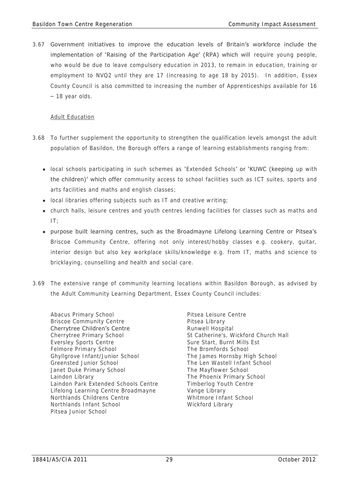3.67 Government initiatives to improve the education levels of Britain's workforce include the implementation of 'Raising of the Participation Age' (RPA) which will require young people, who would be due to leave compulsory education in 2013, to remain in education, training or employment to NVQ2 until they are 17 (increasing to age 18 by 2015). In addition, Essex County Council is also committed to increasing the number of Apprenticeships available for 16 – 18 year olds.

### Adult Education

- 3.68 To further supplement the opportunity to strengthen the qualification levels amongst the adult population of Basildon, the Borough offers a range of learning establishments ranging from:
	- local schools participating in such schemes as 'Extended Schools' or 'KUWC (keeping up with the children)' which offer community access to school facilities such as ICT suites, sports and arts facilities and maths and english classes;
	- local libraries offering subjects such as IT and creative writing;
	- church halls, leisure centres and youth centres lending facilities for classes such as maths and IT;
	- purpose built learning centres, such as the Broadmayne Lifelong Learning Centre or Pitsea's Briscoe Community Centre, offering not only interest/hobby classes e.g. cookery, guitar, interior design but also key workplace skills/knowledge e.g. from IT, maths and science to bricklaying, counselling and health and social care.
- 3.69 The extensive range of community learning locations within Basildon Borough, as advised by the Adult Community Learning Department, Essex County Council includes:
	- Abacus Primary School Pitsea Leisure Centre Briscoe Community Centre **Pitsea Library** Cherrytree Children's Centre **Runwell Hospital** Cherrytree Primary School St Catherine's, Wickford Church Hall Eversley Sports Centre Sure Sure Start, Burnt Mills Est Felmore Primary School The Bromfords School The Bromfords School Ghyllgrove Infant/Junior School The James Hornsby High School Greensted Junior School The Len Wastell Infant School Janet Duke Primary School The Mayflower School Laindon Library The Phoenix Primary School Laindon Park Extended Schools Centre Timberlog Youth Centre Lifelong Learning Centre Broadmayne Vange Library Northlands Childrens Centre Whitmore Infant School Northlands Infant School Wickford Library Pitsea Junior School
		-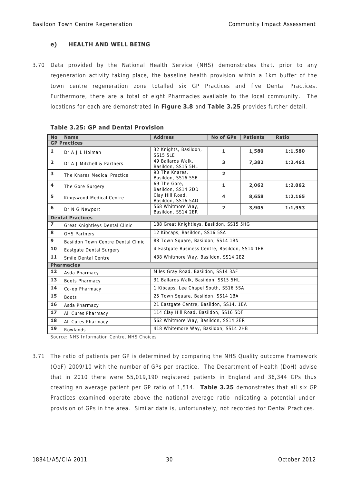# **e) HEALTH AND WELL BEING**

3.70 Data provided by the National Health Service (NHS) demonstrates that, prior to any regeneration activity taking place, the baseline health provision within a 1km buffer of the town centre regeneration zone totalled six GP Practices and five Dental Practices. Furthermore, there are a total of eight Pharmacies available to the local community. The locations for each are demonstrated in **Figure 3.8** and **Table 3.25** provides further detail.

| <b>No</b>               | <b>Name</b>                        | <b>Address</b>                                 | <b>No of GPs</b>        | <b>Patients</b> | <b>Ratio</b> |  |  |  |
|-------------------------|------------------------------------|------------------------------------------------|-------------------------|-----------------|--------------|--|--|--|
|                         | <b>GP Practices</b>                |                                                |                         |                 |              |  |  |  |
| $\mathbf{1}$            | Dr A J L Holman                    | 32 Knights, Basildon,<br><b>SS15 5LE</b>       | 1                       | 1,580           | 1:1,580      |  |  |  |
| $\overline{2}$          | Dr A J Mitchell & Partners         | 49 Ballards Walk.<br>Basildon, SS15 5HL        | 3                       | 7,382           | 1:2,461      |  |  |  |
| 3                       | The Knares Medical Practice        | 93 The Knares.<br>Basildon, SS16 5SB           | $\overline{2}$          |                 |              |  |  |  |
| $\overline{\mathbf{4}}$ | The Gore Surgery                   | 69 The Gore.<br>Basildon, SS14 2DD             | $\mathbf{1}$            | 2,062           | 1:2,062      |  |  |  |
| 5                       | Kingswood Medical Centre           | Clay Hill Road,<br>Basildon, SS16 5AD          | $\overline{\mathbf{4}}$ | 8,658           | 1:2,165      |  |  |  |
| 6                       | Dr N G Newport                     | 568 Whitmore Way,<br>Basildon, SS14 2ER        | $\overline{2}$          | 3,905           | 1:1,953      |  |  |  |
|                         | <b>Dental Practices</b>            |                                                |                         |                 |              |  |  |  |
| $\overline{\mathbf{z}}$ | Great Knightleys Dental Clinic     | 188 Great Knightleys, Basildon, SS15 5HG       |                         |                 |              |  |  |  |
| 8                       | <b>GHS Partners</b>                | 12 Kibcaps, Basildon, SS16 5SA                 |                         |                 |              |  |  |  |
| 9                       | Basildon Town Centre Dental Clinic | 88 Town Square, Basildon, SS14 1BN             |                         |                 |              |  |  |  |
| 10                      | Eastgate Dental Surgery            | 4 Eastgate Business Centre, Basildon, SS14 1EB |                         |                 |              |  |  |  |
| 11                      | Smile Dental Centre                | 438 Whitmore Way, Basildon, SS14 2EZ           |                         |                 |              |  |  |  |
|                         | <b>Pharmacies</b>                  |                                                |                         |                 |              |  |  |  |
| 12                      | Asda Pharmacy                      | Miles Gray Road, Basildon, SS14 3AF            |                         |                 |              |  |  |  |
| 13                      | Boots Pharmacy                     | 31 Ballards Walk, Basildon, SS15 5HL           |                         |                 |              |  |  |  |
| 14                      | Co-op Pharmacy                     | 1 Kibcaps, Lee Chapel South, SS16 5SA          |                         |                 |              |  |  |  |
| 15                      | <b>Boots</b>                       | 25 Town Square, Basildon, SS14 1BA             |                         |                 |              |  |  |  |
| 16                      | Asda Pharmacy                      | 21 Eastgate Centre, Basildon, SS14, 1EA        |                         |                 |              |  |  |  |
| 17                      | All Cures Pharmacy                 | 114 Clay Hill Road, Basildon, SS16 5DF         |                         |                 |              |  |  |  |
| 18                      | All Cures Pharmacy                 | 562 Whitmore Way, Basildon, SS14 2ER           |                         |                 |              |  |  |  |
| 19                      | Rowlands                           | 418 Whitemore Way, Basildon, SS14 2HB          |                         |                 |              |  |  |  |

|  |  | <b>Table 3.25: GP and Dental Provision</b> |
|--|--|--------------------------------------------|
|  |  |                                            |

Source: NHS Information Centre, NHS Choices

3.71 The ratio of patients per GP is determined by comparing the NHS Quality outcome Framework (QoF) 2009/10 with the number of GPs per practice. The Department of Health (DoH) advise that in 2010 there were 55,019,190 registered patients in England and 36,344 GPs thus creating an average patient per GP ratio of 1,514. **Table 3.25** demonstrates that all six GP Practices examined operate above the national average ratio indicating a potential underprovision of GPs in the area. Similar data is, unfortunately, not recorded for Dental Practices.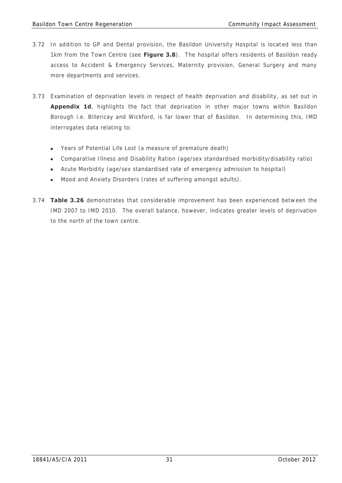- 3.72 In addition to GP and Dental provision, the Basildon University Hospital is located less than 1km from the Town Centre (see **Figure 3.8**). The hospital offers residents of Basildon ready access to Accident & Emergency Services, Maternity provision, General Surgery and many more departments and services.
- 3.73 Examination of deprivation levels in respect of health deprivation and disability, as set out in **Appendix 1d**, highlights the fact that deprivation in other major towns within Basildon Borough i.e. Billericay and Wickford, is far lower that of Basildon. In determining this, IMD interrogates data relating to:
	- Years of Potential Life Lost (a measure of premature death)
	- Comparative Illness and Disability Ration (age/sex standardised morbidity/disability ratio)
	- Acute Morbidity (age/sex standardised rate of emergency admission to hospita l)
	- Mood and Anxiety Disorders (rates of suffering amongst adults).
- 3.74 **Table 3.26** demonstrates that considerable improvement has been experienced between the IMD 2007 to IMD 2010. The overall balance, however, indicates greater levels of deprivation to the north of the town centre.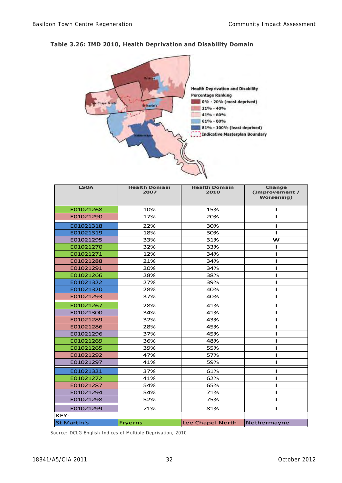# **Table 3.26: IMD 2010, Health Deprivation and Disability Domain**



| <b>LSOA</b>        | <b>Health Domain</b><br>2007 | <b>Health Domain</b><br>2010 | Change<br>(Improvement /<br><b>Worsening</b> ) |
|--------------------|------------------------------|------------------------------|------------------------------------------------|
| E01021268          | 10%                          | 15%                          | п                                              |
| E01021290          | 17%                          | 20%                          | п                                              |
| E01021318          | 22%                          | 30%                          | п                                              |
| E01021319          | 18%                          | 30%                          | п                                              |
| E01021295          | 33%                          | 31%                          | W                                              |
| E01021270          | 32%                          | 33%                          |                                                |
| E01021271          | 12%                          | 34%                          |                                                |
| E01021288          | 21%                          | 34%                          |                                                |
| E01021291          | 20%                          | 34%                          |                                                |
| E01021266          | 28%                          | 38%                          |                                                |
| E01021322          | 27%                          | 39%                          |                                                |
| E01021320          | 28%                          | 40%                          | п                                              |
| E01021293          | 37%                          | 40%                          | п                                              |
| E01021267          | 28%                          | 41%                          |                                                |
| E01021300          | 34%                          | 41%                          | п                                              |
| E01021289          | 32%                          | 43%                          |                                                |
| E01021286          | 28%                          | 45%                          |                                                |
| E01021296          | 37%                          | 45%                          |                                                |
| E01021269          | 36%                          | 48%                          | п                                              |
| E01021265          | 39%                          | 55%                          | п                                              |
| E01021292          | 47%                          | 57%                          | п                                              |
| E01021297          | 41%                          | 59%                          | п                                              |
| E01021321          | 37%                          | 61%                          | п                                              |
| E01021272          | 41%                          | 62%                          | п                                              |
| E01021287          | 54%                          | 65%                          |                                                |
| E01021294          | 54%                          | 71%                          |                                                |
| E01021298          | 52%                          | 75%                          | г                                              |
| E01021299          | 71%                          | 81%                          |                                                |
| KEY:               |                              |                              |                                                |
| <b>St Martin's</b> | <b>Fryerns</b>               | Lee Chapel North             | Nethermayne                                    |

Source: DCLG English Indices of Multiple Deprivation, 2010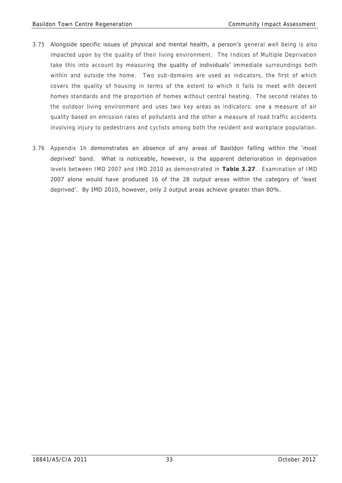- 3.75 Alongside specific issues of physical and mental health, a person's general well being is also impacted upon by the quality of their living environment. The Indices of Multiple Deprivation take this into account by measuring the quality of individuals' immediate surroundings both within and outside the home. Two sub-domains are used as indicators, the first of which covers the quality of housing in terms of the extent to which it fails to meet with decent homes standards and the proportion of homes without central heating. The second relates to the outdoor living environment and uses two key areas as indicators; one a measure of air quality based on emission rates of pollutants and the other a measure of road traffic accidents involving injury to pedestrians and cyclists among both the resident and workplace population.
- 3.76 Appendix 1h demonstrates an absence of any areas of Basildon falling within the 'most deprived' band. What is noticeable, however, is the apparent deterioration in deprivation levels between IMD 2007 and IMD 2010 as demonstrated in **Table 3.27**. Examination of IMD 2007 alone would have produced 16 of the 28 output areas within the category of 'least deprived'. By IMD 2010, however, only 2 output areas achieve greater than 80%.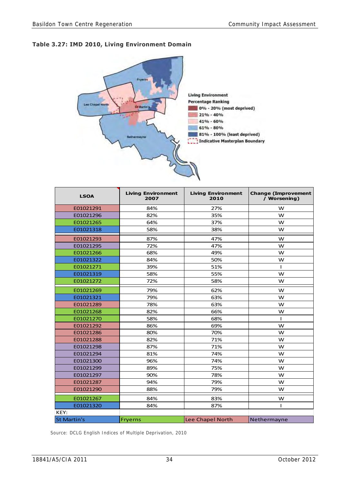# **Table 3.27: IMD 2010, Living Environment Domain**



| <b>LSOA</b>        | <b>Living Environment</b><br>2007 | <b>Living Environment</b><br>2010 | <b>Change (Improvement</b><br>/ Worsening) |
|--------------------|-----------------------------------|-----------------------------------|--------------------------------------------|
| E01021291          | 84%                               | 27%                               | W                                          |
| E01021296          | 82%                               | 35%                               | W                                          |
| E01021265          | 64%                               | 37%                               | W                                          |
| E01021318          | 58%                               | 38%                               | W                                          |
| E01021293          | 87%                               | 47%                               | W                                          |
| E01021295          | 72%                               | 47%                               | W                                          |
| E01021266          | 68%                               | 49%                               | W                                          |
| E01021322          | 84%                               | 50%                               | W                                          |
| E01021271          | 39%                               | 51%                               | $\mathbf{I}$                               |
| E01021319          | 58%                               | 55%                               | W                                          |
| E01021272          | 72%                               | 58%                               | W                                          |
| E01021269          | 79%                               | 62%                               | W                                          |
| E01021321          | 79%                               | 63%                               | w                                          |
| E01021289          | 78%                               | 63%                               | W                                          |
| E01021268          | 82%                               | 66%                               | W                                          |
| E01021270          | 58%                               | 68%                               | $\mathbf{I}$                               |
| E01021292          | 86%                               | 69%                               | W                                          |
| E01021286          | 80%                               | 70%                               | W                                          |
| E01021288          | 82%                               | 71%                               | W                                          |
| E01021298          | 87%                               | 71%                               | W                                          |
| E01021294          | 81%                               | 74%                               | W                                          |
| E01021300          | 96%                               | 74%                               | W                                          |
| E01021299          | 89%                               | 75%                               | W                                          |
| E01021297          | 90%                               | 78%                               | W                                          |
| E01021287          | 94%                               | 79%                               | W                                          |
| E01021290          | 88%                               | 79%                               | W                                          |
| E01021267          | 84%                               | 83%                               | W                                          |
| E01021320          | 84%                               | 87%                               | $\mathbf{I}$                               |
| KEY:               |                                   |                                   |                                            |
| <b>St Martin's</b> | <b>Fryerns</b>                    | Lee Chapel North                  | Nethermayne                                |

Source: DCLG English Indices of Multiple Deprivation, 2010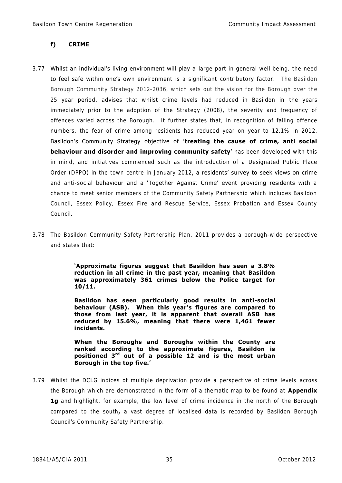## **f) CRIME**

- 3.77 Whilst an individual's living environment will play a large part in general well being, the need to feel safe within one's own environment is a significant contributory factor. The Basildon Borough Community Strategy 2012-2036, which sets out the vision for the Borough over the 25 year period, advises that whilst crime levels had reduced in Basildon in the years immediately prior to the adoption of the Strategy (2008), the severity and frequency of offences varied across the Borough. It further states that, in recognition of falling offence numbers, the fear of crime among residents has reduced year on year to 12.1% in 2012. Basildon's Community Strategy objective of ' **treating the cause of crime, anti social behaviour and disorder and improving community safety**' has been developed with this in mind, and initiatives commenced such as the introduction of a Designated Public Place Order (DPPO) in the town centre in January 2012, a residents' survey to seek views on crime and anti-social behaviour and a 'Together Against Crime' event providing residents with a chance to meet senior members of the Community Safety Partnership which includes Basildon Council, Essex Policy, Essex Fire and Rescue Service, Essex Probation and Essex County Council.
- 3.78 The Basildon Community Safety Partnership Plan, 2011 provides a borough-wide perspective and states that:

**'Approximate figures suggest that Basildon has seen a 3.8% reduction in all crime in the past year, meaning that Basildon was approximately 361 crimes below the Police target for 10/11.**

**Basildon has seen particularly good results in anti-social behaviour (ASB). When this year's figures are compared to those from last year, it is apparent that overall ASB has reduced by 15.6%, meaning that there were 1,461 fewer incidents.** 

**When the Boroughs and Boroughs within the County are ranked according to the approximate figures, Basildon is positioned 3rd out of a possible 12 and is the most urban Borough in the top five.'**

3.79 Whilst the DCLG indices of multiple deprivation provide a perspective of crime levels across the Borough which are demonstrated in the form of a thematic map to be found at **Appendix 1g** and highlight, for example, the low level of crime incidence in the north of the Borough compared to the south**,** a vast degree of localised data is recorded by Basildon Borough Council's Community Safety Partnership.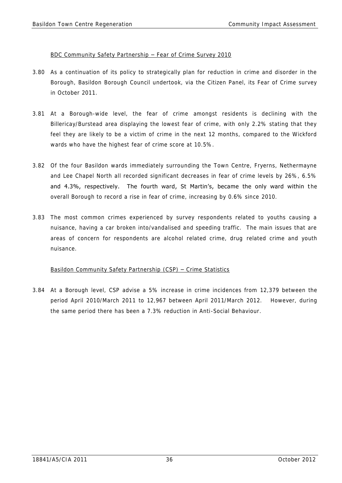### BDC Community Safety Partnership – Fear of Crime Survey 2010

- 3.80 As a continuation of its policy to strategically plan for reduction in crime and disorder in the Borough, Basildon Borough Council undertook, via the Citizen Panel, its Fear of Crime survey in October 2011.
- 3.81 At a Borough-wide level, the fear of crime amongst residents is declining with the Billericay/Burstead area displaying the lowest fear of crime, with only 2.2% stating that they feel they are likely to be a victim of crime in the next 12 months, compared to the Wickford wards who have the highest fear of crime score at 10.5%.
- 3.82 Of the four Basildon wards immediately surrounding the Town Centre, Fryerns, Nethermayne and Lee Chapel North all recorded significant decreases in fear of crime levels by 26%, 6.5% and 4.3%, respectively. The fourth ward, St Martin's, became the only ward within the overall Borough to record a rise in fear of crime, increasing by 0.6% since 2010.
- 3.83 The most common crimes experienced by survey respondents related to youths causing a nuisance, having a car broken into/vandalised and speeding traffic. The main issues that are areas of concern for respondents are alcohol related crime, drug related crime and youth nuisance.

### Basildon Community Safety Partnership (CSP) – Crime Statistics

3.84 At a Borough level, CSP advise a 5% increase in crime incidences from 12,379 between the period April 2010/March 2011 to 12,967 between April 2011/March 2012. However, during the same period there has been a 7.3% reduction in Anti-Social Behaviour.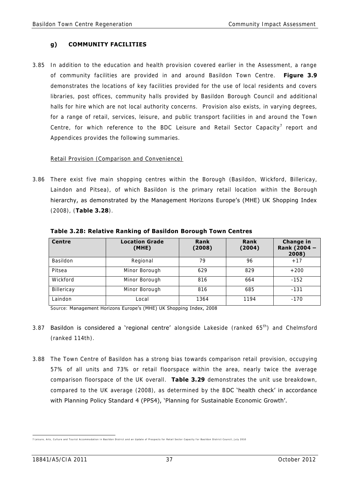# **g) COMMUNITY FACILITIES**

3.85 In addition to the education and health provision covered earlier in the Assessment, a range of community facilities are provided in and around Basildon Town Centre. **Figure 3.9** demonstrates the locations of key facilities provided for the use of local residents and covers libraries, post offices, community halls provided by Basildon Borough Council and additional halls for hire which are not local authority concerns. Provision also exists, in varying degrees, for a range of retail, services, leisure, and public transport facilities in and around the Town Centre, for which reference to the BDC Leisure and Retail Sector Capacity<sup>7</sup> report and Appendices provides the following summaries.

### Retail Provision (Comparison and Convenience)

3.86 There exist five main shopping centres within the Borough (Basildon, Wickford, Billericay, Laindon and Pitsea), of which Basildon is the primary retail location within the Borough hierarchy, as demonstrated by the Management Horizons Europe's (MHE) UK Shopping Index (2008), (**Table 3.28**).

| <b>Centre</b> | <b>Location Grade</b><br>(MHE) | Rank<br>(2008) | Rank<br>(2004) | <b>Change in</b><br>Rank (2004 -<br>2008) |
|---------------|--------------------------------|----------------|----------------|-------------------------------------------|
| Basildon      | Regional                       | 79             | 96             | $+17$                                     |
| Pitsea        | Minor Borough                  | 629            | 829            | $+200$                                    |
| Wickford      | Minor Borough                  | 816            | 664            | $-152$                                    |
| Billericay    | Minor Borough                  | 816            | 685            | $-131$                                    |
| Laindon       | Local                          | 1364           | 1194           | $-170$                                    |

 **Table 3.28: Relative Ranking of Basildon Borough Town Centres** 

Source: Management Horizons Europe's (MHE) UK Shopping Index, 2008

- 3.87 **Basildon is considered a 'regional centre'** alongside Lakeside (ranked  $65<sup>th</sup>$ ) and Chelmsford (ranked 114th).
- 3.88 The Town Centre of Basildon has a strong bias towards comparison retail provision, occupying 57% of all units and 73% or retail floorspace within the area, nearly twice the average comparison floorspace of the UK overall. **Table 3.29** demonstrates the unit use breakdown, compared to the UK average (2008), as determined by the BDC 'health check' in accordance with Planning Policy Standard 4 (PPS4), 'Planning for Sustainable Economic Growth'.

<sup>7&</sup>lt;br>7 Leisure, Arts, Culture and Tourist Accommodation in Basildon District and an Update of Prospects for Retail Sector Capacity for Basildon District Council, July 2010<br>Prospect of District Council, July 2010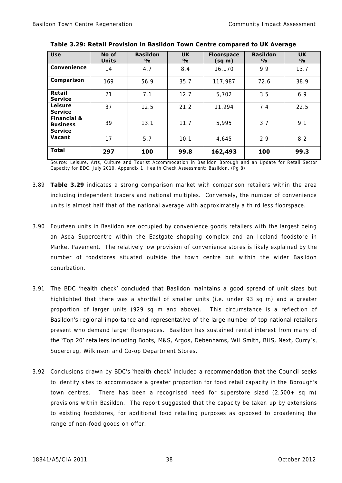| <b>Use</b>                                                  | No of<br><b>Units</b> | <b>Basildon</b><br>$\frac{0}{0}$ | <b>UK</b><br>$\frac{9}{6}$ | <b>Floorspace</b><br>$(sq \, m)$ | <b>Basildon</b><br>$\frac{0}{0}$ | <b>UK</b><br>$\frac{9}{6}$ |
|-------------------------------------------------------------|-----------------------|----------------------------------|----------------------------|----------------------------------|----------------------------------|----------------------------|
| Convenience                                                 | 14                    | 4.7                              | 8.4                        | 16,170                           | 9.9                              | 13.7                       |
| Comparison                                                  | 169                   | 56.9                             | 35.7                       | 117,987                          | 72.6                             | 38.9                       |
| Retail<br><b>Service</b>                                    | 21                    | 7.1                              | 12.7                       | 5,702                            | 3.5                              | 6.9                        |
| Leisure<br><b>Service</b>                                   | 37                    | 12.5                             | 21.2                       | 11,994                           | 7.4                              | 22.5                       |
| <b>Financial &amp;</b><br><b>Business</b><br><b>Service</b> | 39                    | 13.1                             | 11.7                       | 5,995                            | 3.7                              | 9.1                        |
| Vacant                                                      | 17                    | 5.7                              | 10.1                       | 4,645                            | 2.9                              | 8.2                        |
| <b>Total</b>                                                | 297                   | 100                              | 99.8                       | 162,493                          | 100                              | 99.3                       |

| Table 3.29: Retail Provision in Basildon Town Centre compared to UK Average |
|-----------------------------------------------------------------------------|
|                                                                             |

Source: Leisure, Arts, Culture and Tourist Accommodation in Basildon Borough and an Update for Retail Sector Capacity for BDC, July 2010, Appendix 1, Health Check Assessment: Basildon, (Pg 8)

- 3.89 **Table 3.29** indicates a strong comparison market with comparison retailers within the area including independent traders and national multiples. Conversely, the number of convenience units is almost half that of the national average with approximately a third less floorspace.
- 3.90 Fourteen units in Basildon are occupied by convenience goods retailers with the largest being an Asda Supercentre within the Eastgate shopping complex and an Iceland foodstore in Market Pavement. The relatively low provision of convenience stores is likely explained by the number of foodstores situated outside the town centre but within the wider Basildon conurbation.
- 3.91 The BDC 'health check' concluded that Basildon maintains a good spread of unit sizes but highlighted that there was a shortfall of smaller units (i.e. under 93 sq m) and a greater proportion of larger units (929 sq m and above). This circumstance is a reflection of Basildon's regional importance and representative of the large number of top national retailers present who demand larger floorspaces. Basildon has sustained rental interest from many of the 'Top 20' retailers including Boots, M&S, Argos, Debenhams, WH Smith, BHS, Next, Curry's, Superdrug, Wilkinson and Co-op Department Stores.
- 3.92 Conclusions drawn by BDC's 'health check' included a recommendation that the Council seeks to identify sites to accommodate a greater proportion for food retail capacity in the Borough's town centres. There has been a recognised need for superstore sized (2,500+ sq m) provisions within Basildon. The report suggested that the capacity be taken up by extensions to existing foodstores, for additional food retailing purposes as opposed to broadening the range of non-food goods on offer.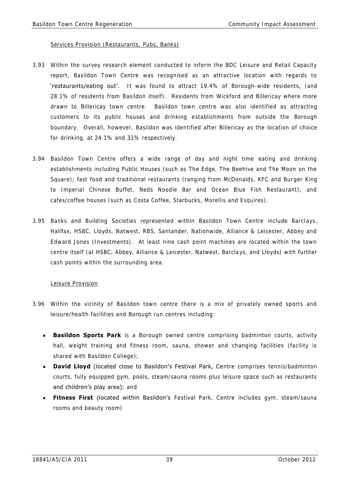#### Services Provision (Restaurants, Pubs, Banks)

- 3.93 Within the survey research element conducted to inform the BDC Leisure and Retail Capacity report, Basildon Town Centre was recognised as an attractive location with regards to 'restaurants/eating out'. It was found to attract 19.4% of Borough-wide residents, (and 28.1% of residents from Basildon itself). Residents from Wickford and Billericay where more drawn to Billericay town centre. Basildon town centre was also identified as attracting customers to its public houses and drinking establishments from outside the Borough boundary. Overall, however, Basildon was identified after Billericay as the location of choice for drinking, at 24.1% and 31% respectively.
- 3.94 Basildon Town Centre offers a wide range of day and night time eating and drinking establishments including Public Houses (such as The Edge, The Beehive and The Moon on the Square); fast food and traditional restaurants (ranging from McDonalds, KFC and Burger King to Imperial Chinese Buffet, Neds Noodle Bar and Ocean Blue Fish Restaurant); and cafes/coffee houses (such as Costa Coffee, Starbucks, Morellis and Esquires).
- 3.95 Banks and Building Societies represented within Basildon Town Centre include Barclays, Halifax, HSBC, Lloyds, Natwest, RBS, Santander, Nationwide, Alliance & Leicester, Abbey and Edward Jones (Investments). At least nine cash point machines are located within the town centre itself (at HSBC, Abbey, Alliance & Leicester, Natwest, Barclays, and Lloyds) with further cash points within the surrounding area.

### Leisure Provision

- 3.96 Within the vicinity of Basildon town centre there is a mix of privately owned sports and leisure/health facilities and Borough run centres including:
	- **Basildon Sports Park** is a Borough owned centre comprising badminton courts, activity hall, weight training and fitness room, sauna, shower and changing facilities (facility is shared with Basildon College);
	- **.** David Lloyd (located close to Basildon's Festival Park, Centre comprises tennis/badminton courts, fully equipped gym, pools, steam/sauna rooms plus leisure space such as restaurants and children's play area); and
	- **Fitness First** (located within Basildon's Festival Park, Centre includes gym, steam/sauna rooms and beauty room)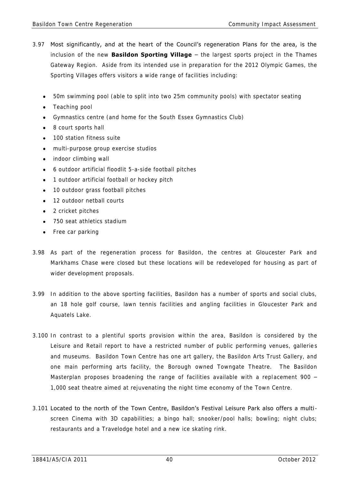- 3.97 Most significantly, and at the heart of the Council's regeneration Plans for the area, is the inclusion of the new **Basildon Sporting Village** – the largest sports project in the Thames Gateway Region. Aside from its intended use in preparation for the 2012 Olympic Games, the Sporting Villages offers visitors a wide range of facilities including:
	- 50m swimming pool (able to split into two 25m community pools) with spectator seating
	- Teaching pool  $\bullet$
	- Gymnastics centre (and home for the South Essex Gymnastics Club)
	- 8 court sports hall  $\bullet$
	- 100 station fitness suite  $\bullet$
	- multi-purpose group exercise studios
	- indoor climbing wall  $\bullet$
	- $\bullet$ 6 outdoor artificial floodlit 5-a-side football pitches
	- 1 outdoor artificial football or hockey pitch  $\bullet$
	- 10 outdoor grass football pitches  $\bullet$
	- 12 outdoor netball courts
	- 2 cricket pitches
	- 750 seat athletics stadium
	- Free car parking
- 3.98 As part of the regeneration process for Basildon, the centres at Gloucester Park and Markhams Chase were closed but these locations will be redeveloped for housing as part of wider development proposals.
- 3.99 In addition to the above sporting facilities, Basildon has a number of sports and social clubs, an 18 hole golf course, lawn tennis facilities and angling facilities in Gloucester Park and Aquatels Lake.
- 3.100 In contrast to a plentiful sports provision within the area, Basildon is considered by the Leisure and Retail report to have a restricted number of public performing venues, galleries and museums. Basildon Town Centre has one art gallery, the Basildon Arts Trust Gallery, and one main performing arts facility, the Borough owned Towngate Theatre. The Basildon Masterplan proposes broadening the range of facilities available with a replacement 900 -1,000 seat theatre aimed at rejuvenating the night time economy of the Town Centre.
- 3.101 Located to the north of the Town Centre, Basildon's Festival Leisure Park also offers a multiscreen Cinema with 3D capabilities; a bingo hall; snooker/pool halls; bowling; night clubs; restaurants and a Travelodge hotel and a new ice skating rink.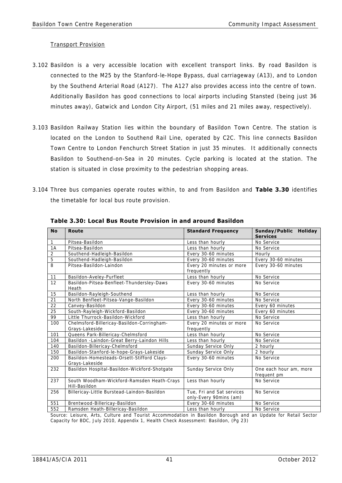### Transport Provision

- 3.102 Basildon is a very accessible location with excellent transport links. By road Basildon is connected to the M25 by the Stanford-le-Hope Bypass, dual carriageway (A13), and to London by the Southend Arterial Road (A127). The A127 also provides access into the centre of town. Additionally Basildon has good connections to local airports including Stansted (being just 36 minutes away), Gatwick and London City Airport, (51 miles and 21 miles away, respectively).
- 3.103 Basildon Railway Station lies within the boundary of Basildon Town Centre. The station is located on the London to Southend Rail Line, operated by C2C. This line connects Basildon Town Centre to London Fenchurch Street Station in just 35 minutes. It additionally connects Basildon to Southend-on-Sea in 20 minutes. Cycle parking is located at the station. The station is situated in close proximity to the pedestrian shopping areas.
- 3.104 Three bus companies operate routes within, to and from Basildon and **Table 3.30** identifies the timetable for local bus route provision.

| <b>No</b>      | <b>Route</b>                                                 | <b>Standard Frequency</b>                           | Sunday/Public Holiday<br><b>Services</b> |  |
|----------------|--------------------------------------------------------------|-----------------------------------------------------|------------------------------------------|--|
| $\mathbf{1}$   | Pitsea-Basildon                                              | Less than hourly                                    | No Service                               |  |
| 1A             | Pitsea-Basildon                                              | Less than hourly                                    | No Service                               |  |
| $\overline{2}$ | Southend-Hadleigh-Basildon                                   | Every 30-60 minutes                                 | Hourly                                   |  |
| $\overline{5}$ | Southend-Hadleigh-Basildon                                   | Every 30-60 minutes                                 | Every 30-60 minutes                      |  |
| $\overline{8}$ | Pitsea-Basildon-Laindon                                      | Every 20 minutes or more<br>frequently              | Every 30-60 minutes                      |  |
| 11             | Basildon-Aveley-Purfleet                                     | Less than hourly                                    | No Service                               |  |
| 12             | Basildon-Pitsea-Benfleet-Thundersley-Daws<br>Heath           | Every 30-60 minutes                                 | No Service                               |  |
| 15             | Basildon-Rayleigh-Southend                                   | Less than hourly                                    | No Service                               |  |
| 21             | North Benfleet-Pitsea-Vange-Basildon                         | Every 30-60 minutes                                 | No Service                               |  |
| 22             | Canvey-Basildon                                              | Every 30-60 minutes                                 | Every 60 minutes                         |  |
| 25             | South-Rayleigh-Wickford-Basildon                             | Every 30-60 minutes                                 | Every 60 minutes                         |  |
| 99             | Little Thurrock-Basildon-Wickford                            | Less than hourly                                    | No Service                               |  |
| 100            | Chelmsford-Billericay-Basildon-Corringham-<br>Grays-Lakeside | Every 20 minutes or more<br>frequently              | No Service                               |  |
| 101            | Queens Park-Billericay-Chelmsford                            | Less than hourly                                    | No Service                               |  |
| 104            | Basildon - Laindon-Great Berry-Laindon Hills                 | Less than hourly                                    | No Service                               |  |
| 140            | Basildon-Billericay-Chelmsford                               | Sunday Service Only                                 | 2 hourly                                 |  |
| 150            | Basildon-Stanford-le-hope-Grays-Lakeside                     | Sunday Service Only                                 | 2 hourly                                 |  |
| 200            | Basildon-Homesteads-Orsett-Stifford Clays-<br>Grays-Lakeside | Every 30-60 minutes                                 | No Service                               |  |
| 232            | Basildon Hospital-Basildon-Wickford-Shotgate                 | Sunday Service Only                                 | One each hour am, more<br>frequent pm    |  |
| 237            | South Woodham-Wickford-Ramsden Heath-Crays<br>Hill-Basildon  | Less than hourly                                    | No Service                               |  |
| 256            | Billericay-Little Burstead-Laindon-Basildon                  | Tue, Fri and Sat services<br>only-Every 90mins (am) | No Service                               |  |
| 551            | Brentwood-Billericay-Basildon                                | Every 30-60 minutes                                 | No Service                               |  |
| 552            | Ramsden Heath-Billericay-Basildon                            | Less than hourly                                    | No Service                               |  |

 **Table 3.30: Local Bus Route Provision in and around Basildon** 

Source: Leisure, Arts, Culture and Tourist Accommodation in Basildon Borough and an Update for Retail Sector Capacity for BDC, July 2010, Appendix 1, Health Check Assessment: Basildon, (Pg 23)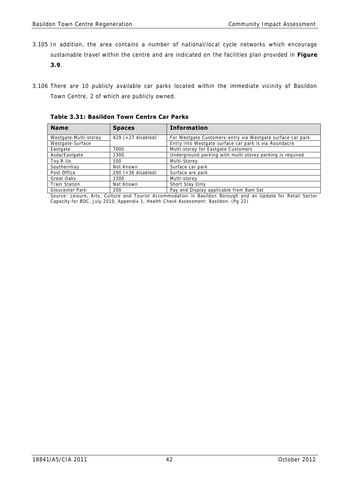- 3.105 In addition, the area contains a number of national/local cycle networks which encourage sustainable travel within the centre and are indicated on the facilities plan provided in **Figure 3.9**.
- 3.106 There are 10 publicly available car parks located within the immediate vicinity of Basildon Town Centre, 2 of which are publicly owned.

**Name Spaces Information** Westgate-Multi-storey | 429 (+27 disabled) | For Westgate Customers-entry via Westgate surface car park Westgate-Surface Entry into Westgate surface car park is via Roundacre Eastgate 7000 Multi-storey for Eastgate Customers Asda/Eastgate 1300 Underground parking with multi-storey parking is required Toy R Us 500 Multi-Storey<br>
Southernhay Not Known Surface car Southernhay Not Known Surface car park<br>Post Office 290 (+36 disabled) Surface are park  $290 (+36 \text{ disabled})$  Surface are park Great Oaks 1300 Multi-storey Train Station Not Known Short Stay Only Gloucester Park 200 Pay and Display applicable from 8am Sat

 **Table 3.31: Basildon Town Centre Car Parks** 

Source: Leisure, Arts, Culture and Tourist Accommodation in Basildon Borough and an Update for Retail Sector Capacity for BDC, July 2010, Appendix 1, Health Check Assessment: Basildon, (Pg 22)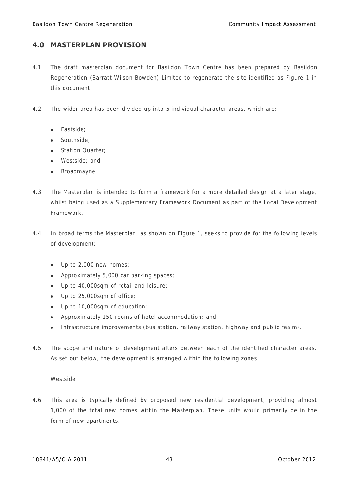# **4.0 MASTERPLAN PROVISION**

- 4.1 The draft masterplan document for Basildon Town Centre has been prepared by Basildon Regeneration (Barratt Wilson Bowden) Limited to regenerate the site identified as Figure 1 in this document.
- 4.2 The wider area has been divided up into 5 individual character areas, which are:
	- Fastside:
	- Southside:
	- Station Quarter:
	- Westside; and
	- Broadmayne.
- 4.3 The Masterplan is intended to form a framework for a more detailed design at a later stage, whilst being used as a Supplementary Framework Document as part of the Local Development Framework.
- 4.4 In broad terms the Masterplan, as shown on Figure 1, seeks to provide for the following levels of development:
	- Up to 2,000 new homes;
	- Approximately 5,000 car parking spaces;
	- Up to 40,000sqm of retail and leisure;
	- Up to 25,000sqm of office;
	- Up to 10,000sqm of education;
	- Approximately 150 rooms of hotel accommodation; and
	- Infrastructure improvements (bus station, railway station, highway and public realm).
- 4.5 The scope and nature of development alters between each of the identified character areas. As set out below, the development is arranged within the following zones.

### Westside

4.6 This area is typically defined by proposed new residential development, providing almost 1,000 of the total new homes within the Masterplan. These units would primarily be in the form of new apartments.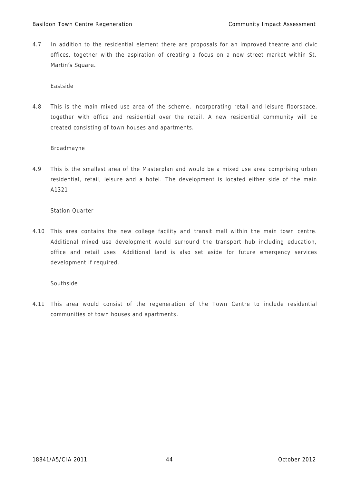4.7 In addition to the residential element there are proposals for an improved theatre and civic offices, together with the aspiration of creating a focus on a new street market within St. Martin's Square.

Eastside

4.8 This is the main mixed use area of the scheme, incorporating retail and leisure floorspace, together with office and residential over the retail. A new residential community will be created consisting of town houses and apartments.

### Broadmayne

4.9 This is the smallest area of the Masterplan and would be a mixed use area comprising urban residential, retail, leisure and a hotel. The development is located either side of the main A1321

### Station Quarter

4.10 This area contains the new college facility and transit mall within the main town centre. Additional mixed use development would surround the transport hub including education, office and retail uses. Additional land is also set aside for future emergency services development if required.

### Southside

4.11 This area would consist of the regeneration of the Town Centre to include residential communities of town houses and apartments.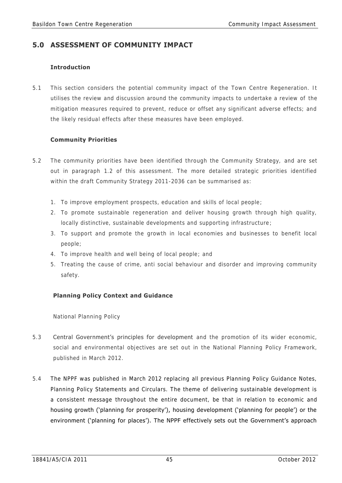# **5.0 ASSESSMENT OF COMMUNITY IMPACT**

### **Introduction**

5.1 This section considers the potential community impact of the Town Centre Regeneration. It utilises the review and discussion around the community impacts to undertake a review of the mitigation measures required to prevent, reduce or offset any significant adverse effects; and the likely residual effects after these measures have been employed.

# **Community Priorities**

- 5.2 The community priorities have been identified through the Community Strategy, and are set out in paragraph 1.2 of this assessment. The more detailed strategic priorities identified within the draft Community Strategy 2011-2036 can be summarised as:
	- 1. To improve employment prospects, education and skills of local people;
	- 2. To promote sustainable regeneration and deliver housing growth through high quality, locally distinctive, sustainable developments and supporting infrastructure;
	- 3. To support and promote the growth in local economies and businesses to benefit local people;
	- 4. To improve health and well being of local people; and
	- 5. Treating the cause of crime, anti social behaviour and disorder and improving community safety.

# **Planning Policy Context and Guidance**

National Planning Policy

- 5.3 Central Government's principles for development and the promotion of its wider economic, social and environmental objectives are set out in the National Planning Policy Framework, published in March 2012.
- 5.4 The NPPF was published in March 2012 replacing all previous Planning Policy Guidance Notes, Planning Policy Statements and Circulars. The theme of delivering sustainable development is a consistent message throughout the entire document, be that in relation to economic and housing growth ('planning for prosperity'), housing development ('planning for people') or the environment ('planning for places'). The NPPF effectively sets out the Government's approach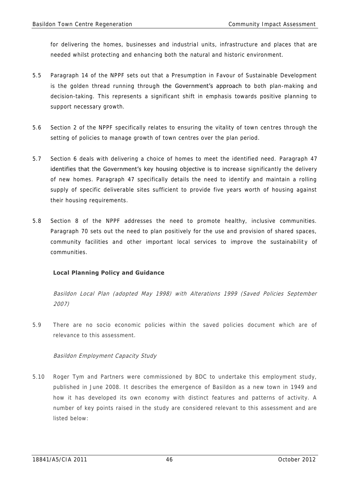for delivering the homes, businesses and industrial units, infrastructure and places that are needed whilst protecting and enhancing both the natural and historic environment.

- 5.5 Paragraph 14 of the NPPF sets out that a Presumption in Favour of Sustainable Development is the golden thread running through the Government's approach to both plan-making and decision-taking. This represents a significant shift in emphasis towards positive planning to support necessary growth.
- 5.6 Section 2 of the NPPF specifically relates to ensuring the vitality of town centres through the setting of policies to manage growth of town centres over the plan period.
- 5.7 Section 6 deals with delivering a choice of homes to meet the identified need. Paragraph 47 identifies that the Government's key housing objective is to increase significantly the delivery of new homes. Paragraph 47 specifically details the need to identify and maintain a rolling supply of specific deliverable sites sufficient to provide five years worth of housing against their housing requirements.
- 5.8 Section 8 of the NPPF addresses the need to promote healthy, inclusive communities. Paragraph 70 sets out the need to plan positively for the use and provision of shared spaces, community facilities and other important local services to improve the sustainability of communities.

# **Local Planning Policy and Guidance**

Basildon Local Plan (adopted May 1998) with Alterations 1999 (Saved Policies September 2007)

5.9 There are no socio economic policies within the saved policies document which are of relevance to this assessment.

### Basildon Employment Capacity Study

5.10 Roger Tym and Partners were commissioned by BDC to undertake this employment study, published in June 2008. It describes the emergence of Basildon as a new town in 1949 and how it has developed its own economy with distinct features and patterns of activity. A number of key points raised in the study are considered relevant to this assessment and are listed below: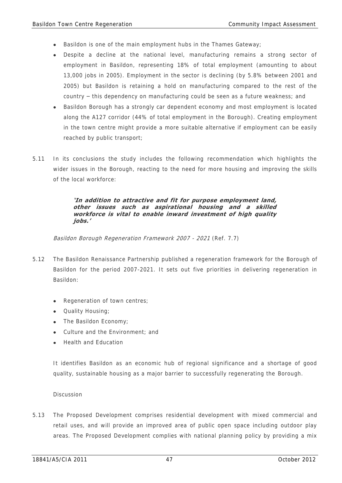- Basildon is one of the main employment hubs in the Thames Gateway;
- Despite a decline at the national level, manufacturing remains a strong sector of employment in Basildon, representing 18% of total employment (amounting to about 13,000 jobs in 2005). Employment in the sector is declining (by 5.8% between 2001 and 2005) but Basildon is retaining a hold on manufacturing compared to the rest of the country – this dependency on manufacturing could be seen as a future weakness; and
- Basildon Borough has a strongly car dependent economy and most employment is located along the A127 corridor (44% of total employment in the Borough). Creating employment in the town centre might provide a more suitable alternative if employment can be easily reached by public transport;
- 5.11 In its conclusions the study includes the following recommendation which highlights the wider issues in the Borough, reacting to the need for more housing and improving the skills of the local workforce:

### **'In addition to attractive and fit for purpose employment land, other issues such as aspirational housing and a skilled workforce is vital to enable inward investment of high quality jobs.'**

Basildon Borough Regeneration Framework 2007 - 2021 (Ref. 7.7)

- 5.12 The Basildon Renaissance Partnership published a regeneration framework for the Borough of Basildon for the period 2007-2021. It sets out five priorities in delivering regeneration in Basildon:
	- Regeneration of town centres;
	- Quality Housing;
	- The Basildon Economy;
	- Culture and the Environment; and
	- Health and Education

It identifies Basildon as an economic hub of regional significance and a shortage of good quality, sustainable housing as a major barrier to successfully regenerating the Borough.

### Discussion

5.13 The Proposed Development comprises residential development with mixed commercial and retail uses, and will provide an improved area of public open space including outdoor play areas. The Proposed Development complies with national planning policy by providing a mix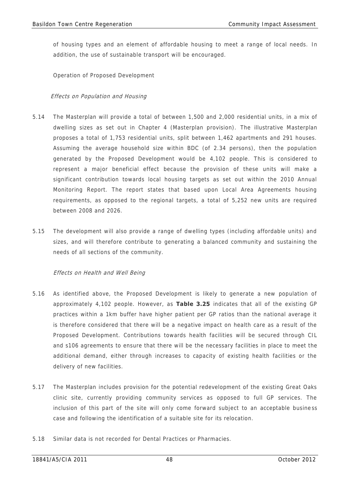of housing types and an element of affordable housing to meet a range of local needs. In addition, the use of sustainable transport will be encouraged.

Operation of Proposed Development

### Effects on Population and Housing

- 5.14 The Masterplan will provide a total of between 1,500 and 2,000 residential units, in a mix of dwelling sizes as set out in Chapter 4 (Masterplan provision). The illustrative Masterplan proposes a total of 1,753 residential units, split between 1,462 apartments and 291 houses. Assuming the average household size within BDC (of 2.34 persons), then the population generated by the Proposed Development would be 4,102 people. This is considered to represent a major beneficial effect because the provision of these units will make a significant contribution towards local housing targets as set out within the 2010 Annual Monitoring Report. The report states that based upon Local Area Agreements housing requirements, as opposed to the regional targets, a total of 5,252 new units are required between 2008 and 2026.
- 5.15 The development will also provide a range of dwelling types (including affordable units) and sizes, and will therefore contribute to generating a balanced community and sustaining the needs of all sections of the community.

# Effects on Health and Well Being

- 5.16 As identified above, the Proposed Development is likely to generate a new population of approximately 4,102 people. However, as **Table 3.25** indicates that all of the existing GP practices within a 1km buffer have higher patient per GP ratios than the national average it is therefore considered that there will be a negative impact on health care as a result of the Proposed Development. Contributions towards health facilities will be secured through CIL and s106 agreements to ensure that there will be the necessary facilities in place to meet the additional demand, either through increases to capacity of existing health facilities or the delivery of new facilities.
- 5.17 The Masterplan includes provision for the potential redevelopment of the existing Great Oaks clinic site, currently providing community services as opposed to full GP services. The inclusion of this part of the site will only come forward subject to an acceptable busine ss case and following the identification of a suitable site for its relocation.
- 5.18 Similar data is not recorded for Dental Practices or Pharmacies.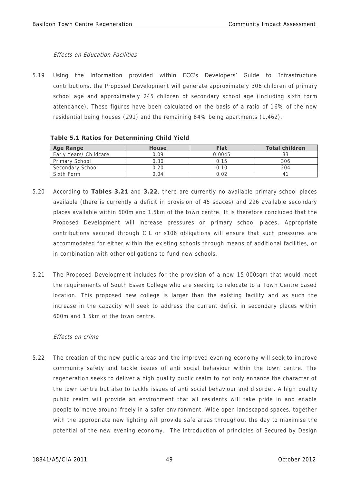### Effects on Education Facilities

5.19 Using the information provided within ECC's Developers' Guide to Infrastructure contributions, the Proposed Development will generate approximately 306 children of primary school age and approximately 245 children of secondary school age (including sixth form attendance). These figures have been calculated on the basis of a ratio of 16% of the new residential being houses (291) and the remaining 84% being apartments (1,462).

| <b>Age Range</b>       | <b>House</b> | <b>Flat</b> | <b>Total children</b> |
|------------------------|--------------|-------------|-----------------------|
| Early Years/ Childcare | 0.09         | 0.0045      |                       |
| Primary School         | 0.30         | i 15        | 306                   |
| Secondary School       | 1.20         | 10          | ) በ4                  |
| Sixth Form             | 1 ( ) 4      | $\cap$      |                       |

**Table 5.1 Ratios for Determining Child Yield** 

- 5.20 According to **Tables 3.21** and **3.22**, there are currently no available primary school places available (there is currently a deficit in provision of 45 spaces) and 296 available secondary places available within 600m and 1.5km of the town centre. It is therefore concluded that the Proposed Development will increase pressures on primary school places. Appropriate contributions secured through CIL or s106 obligations will ensure that such pressures are accommodated for either within the existing schools through means of additional facilities, or in combination with other obligations to fund new schools.
- 5.21 The Proposed Development includes for the provision of a new 15,000sqm that would meet the requirements of South Essex College who are seeking to relocate to a Town Centre based location. This proposed new college is larger than the existing facility and as such the increase in the capacity will seek to address the current deficit in secondary places within 600m and 1.5km of the town centre.

# Effects on crime

5.22 The creation of the new public areas and the improved evening economy will seek to improve community safety and tackle issues of anti social behaviour within the town centre. The regeneration seeks to deliver a high quality public realm to not only enhance the character of the town centre but also to tackle issues of anti social behaviour and disorder. A high quality public realm will provide an environment that all residents will take pride in and enable people to move around freely in a safer environment. Wide open landscaped spaces, together with the appropriate new lighting will provide safe areas throughout the day to maximise the potential of the new evening economy. The introduction of principles of Secured by Design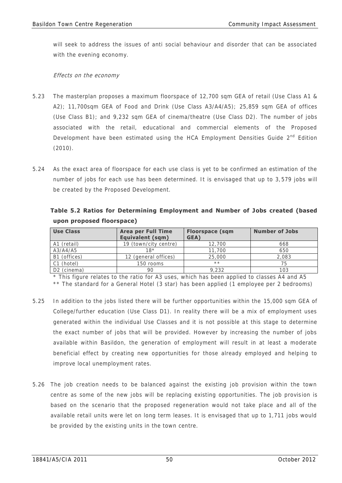will seek to address the issues of anti social behaviour and disorder that can be associated with the evening economy.

# Effects on the economy

- 5.23 The masterplan proposes a maximum floorspace of 12,700 sqm GEA of retail (Use Class A1 & A2); 11,700sqm GEA of Food and Drink (Use Class A3/A4/A5); 25,859 sqm GEA of offices (Use Class B1); and 9,232 sqm GEA of cinema/theatre (Use Class D2). The number of jobs associated with the retail, educational and commercial elements of the Proposed Development have been estimated using the HCA Employment Densities Guide 2<sup>nd</sup> Edition (2010).
- 5.24 As the exact area of floorspace for each use class is yet to be confirmed an estimation of the number of jobs for each use has been determined. It is envisaged that up to 3,579 jobs will be created by the Proposed Development.

**Table 5.2 Ratios for Determining Employment and Number of Jobs created (based upon proposed floorspace)** 

| <b>Use Class</b>        | <b>Area per Full Time</b><br><b>Equivalent (sqm)</b> | <b>Floorspace (sqm</b><br>GEA) | <b>Number of Jobs</b> |
|-------------------------|------------------------------------------------------|--------------------------------|-----------------------|
| A1 (retail)             | 19 (town/city centre)                                | 12,700                         | 668                   |
| A3/A4/A5                | 18*                                                  | 11,700                         | 650                   |
| B1 (offices)            | 12 (general offices)                                 | 25,000                         | 2.083                 |
| C1 (hotel)              | 150 rooms                                            | $* *$                          |                       |
| D <sub>2</sub> (cinema) |                                                      | 9.232                          |                       |

\* This figure relates to the ratio for A3 uses, which has been applied to classes A4 and A5

\*\* The standard for a General Hotel (3 star) has been applied (1 employee per 2 bedrooms)

- 5.25 In addition to the jobs listed there will be further opportunities within the 15,000 sqm GEA of College/further education (Use Class D1). In reality there will be a mix of employment uses generated within the individual Use Classes and it is not possible at this stage to determine the exact number of jobs that will be provided. However by increasing the number of jobs available within Basildon, the generation of employment will result in at least a moderate beneficial effect by creating new opportunities for those already employed and helping to improve local unemployment rates.
- 5.26 The job creation needs to be balanced against the existing job provision within the town centre as some of the new jobs will be replacing existing opportunities. The job provision is based on the scenario that the proposed regeneration would not take place and all of the available retail units were let on long term leases. It is envisaged that up to 1,711 jobs would be provided by the existing units in the town centre.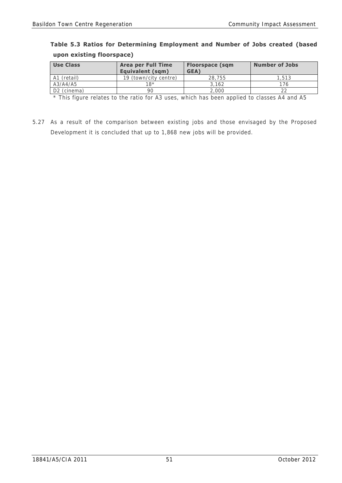| upon existing floorspace) |                                               |                                |                       |  |
|---------------------------|-----------------------------------------------|--------------------------------|-----------------------|--|
| <b>Use Class</b>          | <b>Area per Full Time</b><br>Equivalent (sqm) | <b>Floorspace (sqm</b><br>GEA) | <b>Number of Jobs</b> |  |
| (retail)                  | 19 (town/city centre)                         | 28,755                         | . .513                |  |
| A3/A4/A5                  | 18*                                           | 3.162                          |                       |  |

# **Table 5.3 Ratios for Determining Employment and Number of Jobs created (based upon existing floorspace)**

D2 (cinema) 90 2,000 222 \* This figure relates to the ratio for A3 uses, which has been applied to classes A4 and A5

5.27 As a result of the comparison between existing jobs and those envisaged by the Proposed Development it is concluded that up to 1,868 new jobs will be provided.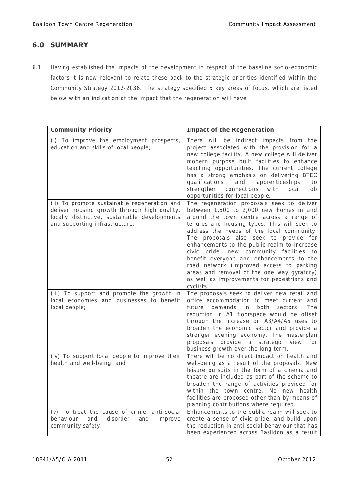# **6.0 SUMMARY**

6.1 Having established the impacts of the development in respect of the baseline socio-economic factors it is now relevant to relate these back to the strategic priorities identified within the Community Strategy 2012-2036. The strategy specified 5 key areas of focus, which are listed below with an indication of the impact that the regeneration will have:

| <b>Community Priority</b>                                                                                                                                                       | <b>Impact of the Regeneration</b>                                                                                                                                                                                                                                                                                                                                                                                                                                                                                                                                      |
|---------------------------------------------------------------------------------------------------------------------------------------------------------------------------------|------------------------------------------------------------------------------------------------------------------------------------------------------------------------------------------------------------------------------------------------------------------------------------------------------------------------------------------------------------------------------------------------------------------------------------------------------------------------------------------------------------------------------------------------------------------------|
| (i) To improve the employment prospects,<br>education and skills of local people;                                                                                               | There will be indirect impacts from the<br>project associated with the provision for a<br>new college facility. A new college will deliver<br>modern purpose built facilities to enhance<br>teaching opportunities. The current college<br>has a strong emphasis on delivering BTEC<br>apprenticeships<br>qualifications<br>and<br>to<br>strengthen connections with<br>local<br>job<br>opportunities for local people.                                                                                                                                                |
| (ii) To promote sustainable regeneration and<br>deliver housing growth through high quality,<br>locally distinctive, sustainable developments<br>and supporting infrastructure; | The regeneration proposals seek to deliver<br>between 1,500 to 2,000 new homes in and<br>around the town centre across a range of<br>tenures and housing types. This will seek to<br>address the needs of the local community.<br>The proposals also seek to provide for<br>enhancements to the public realm to increase<br>civic pride, new community facilities to<br>benefit everyone and enhancements to the<br>road network (improved access to parking<br>areas and removal of the one way gyratory)<br>as well as improvements for pedestrians and<br>cyclists. |
| (iii) To support and promote the growth in<br>local economies and businesses to benefit<br>local people;                                                                        | The proposals seek to deliver new retail and<br>office accommodation to meet current and<br>The<br>future<br>demands in<br>both<br>sectors.<br>reduction in A1 floorspace would be offset<br>through the increase on A3/A4/A5 uses to<br>broaden the economic sector and provide a<br>stronger evening economy. The masterplan<br>proposals provide a strategic<br>view<br>for<br>business growth over the long term.                                                                                                                                                  |
| (iv) To support local people to improve their<br>health and well-being; and                                                                                                     | There will be no direct impact on health and<br>well-being as a result of the proposals. New<br>leisure pursuits in the form of a cinema and<br>theatre are included as part of the scheme to<br>broaden the range of activities provided for<br>within the town centre. No new health<br>facilities are proposed other than by means of<br>planning contributions where required.                                                                                                                                                                                     |
| (v) To treat the cause of crime, anti-social<br>behaviour<br>and<br>disorder<br>and<br>improve<br>community safety.                                                             | Enhancements to the public realm will seek to<br>create a sense of civic pride, and build upon<br>the reduction in anti-social behaviour that has<br>been experienced across Basildon as a result                                                                                                                                                                                                                                                                                                                                                                      |